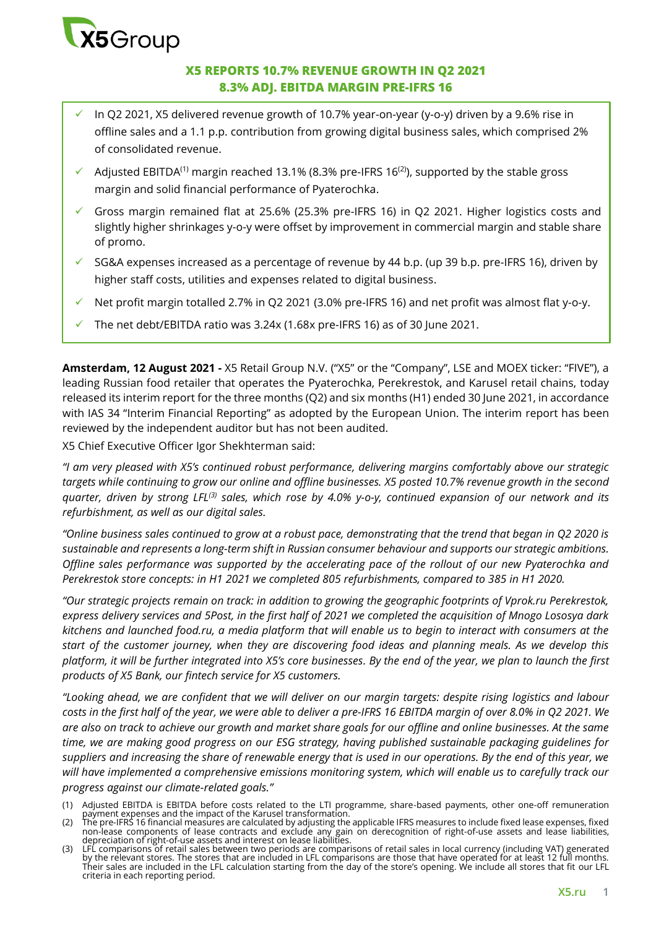

### **X5 REPORTS 10.7% REVENUE GROWTH IN Q2 2021 8.3% ADJ. EBITDA MARGIN PRE-IFRS 16**

- In Q2 2021, X5 delivered revenue growth of 10.7% year-on-year (y-o-y) driven by a 9.6% rise in offline sales and a 1.1 p.p. contribution from growing digital business sales, which comprised 2% of consolidated revenue.
- $\checkmark$  Adjusted EBITDA<sup>(1)</sup> margin reached 13.1% (8.3% pre-IFRS 16<sup>(2)</sup>), supported by the stable gross margin and solid financial performance of Pyaterochka.
- Gross margin remained flat at 25.6% (25.3% pre-IFRS 16) in Q2 2021. Higher logistics costs and slightly higher shrinkages y-o-y were offset by improvement in commercial margin and stable share of promo.
- SG&A expenses increased as a percentage of revenue by 44 b.p. (up 39 b.p. pre-IFRS 16), driven by higher staff costs, utilities and expenses related to digital business.
- Net profit margin totalled 2.7% in Q2 2021 (3.0% pre-IFRS 16) and net profit was almost flat y-o-y.
- The net debt/EBITDA ratio was 3.24x (1.68x pre-IFRS 16) as of 30 June 2021.

**Amsterdam, 12 August 2021 -** X5 Retail Group N.V. ("X5" or the "Company", LSE and MOEX ticker: "FIVE"), a leading Russian food retailer that operates the Pyaterochka, Perekrestok, and Karusel retail chains, today released its interim report for the three months (Q2) and six months (H1) ended 30 June 2021, in accordance with IAS 34 "Interim Financial Reporting" as adopted by the European Union. The interim report has been reviewed by the independent auditor but has not been audited.

X5 Chief Executive Officer Igor Shekhterman said:

*"I am very pleased with X5's continued robust performance, delivering margins comfortably above our strategic targets while continuing to grow our online and offline businesses. X5 posted 10.7% revenue growth in the second quarter, driven by strong LFL(3) sales, which rose by 4.0% y-o-y, continued expansion of our network and its refurbishment, as well as our digital sales.* 

*"Online business sales continued to grow at a robust pace, demonstrating that the trend that began in Q2 2020 is sustainable and represents a long-term shift in Russian consumer behaviour and supports our strategic ambitions. Offline sales performance was supported by the accelerating pace of the rollout of our new Pyaterochka and Perekrestok store concepts: in H1 2021 we completed 805 refurbishments, compared to 385 in H1 2020.* 

*"Our strategic projects remain on track: in addition to growing the geographic footprints of Vprok.ru Perekrestok, express delivery services and 5Post, in the first half of 2021 we completed the acquisition of Mnogo Lososya dark kitchens and launched food.ru, a media platform that will enable us to begin to interact with consumers at the start of the customer journey, when they are discovering food ideas and planning meals. As we develop this platform, it will be further integrated into X5's core businesses. By the end of the year, we plan to launch the first products of X5 Bank, our fintech service for X5 customers.* 

"Looking ahead, we are confident that we will deliver on our margin targets: despite rising logistics and labour *costs in the first half of the year, we were able to deliver a pre-IFRS 16 EBITDA margin of over 8.0% in Q2 2021. We are also on track to achieve our growth and market share goals for our offline and online businesses. At the same time, we are making good progress on our ESG strategy, having published sustainable packaging guidelines for suppliers and increasing the share of renewable energy that is used in our operations. By the end of this year, we will have implemented a comprehensive emissions monitoring system, which will enable us to carefully track our* 

*progress against our climate-related goals."*

<sup>(1)</sup> Adjusted EBITDA is EBITDA before costs related to the LTI programme, share-based payments, other one-off remuneration payment expenses and the impact of the Karusel transformation. (2) The pre-IFRS 16 financial measures are calculated by adjusting the applicable IFRS measures to include fixed lease expenses, fixed

non-lease components of lease contracts and exclude any gain on derecognition of right-of-use assets and lease liabilities, depreciation of right-of-use assets and interest on lease liabilities.

<sup>(3)</sup> LFL comparisons of retail sales between two periods are comparisons of retail sales in local currency (including VAT) generated by the relevant stores. The stores that are included in LFL comparisons are those that have operated for at least 12 full months.<br>Their sales are included in the LFL calculation starting from the day of the store's opening criteria in each reporting period.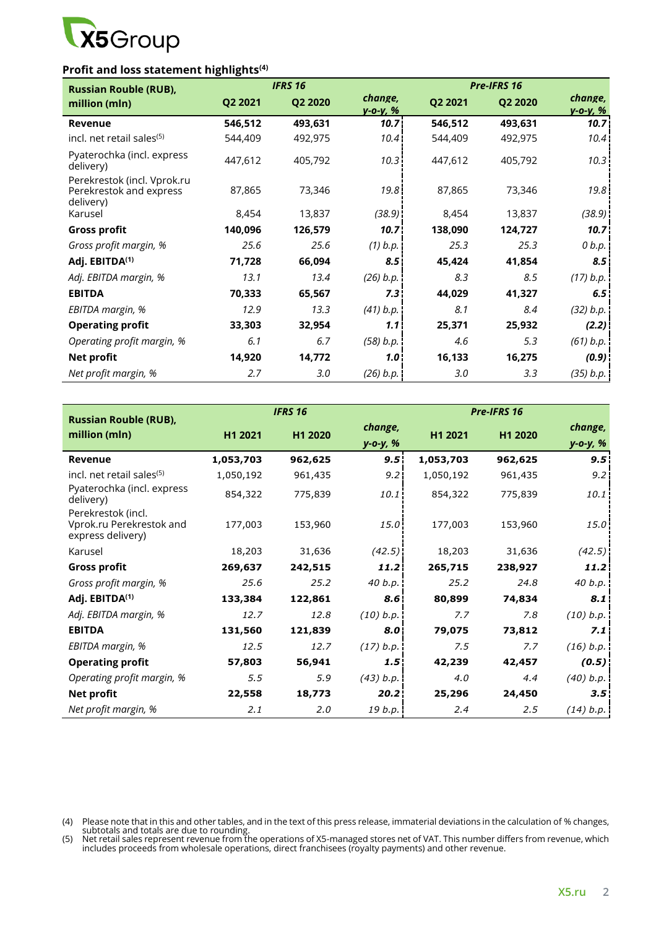

# **Profit and loss statement highlights(4)**

| <b>Russian Rouble (RUB),</b>                                        |         | <b>IFRS 16</b> |                           |         | Pre-IFRS 16 |                            |
|---------------------------------------------------------------------|---------|----------------|---------------------------|---------|-------------|----------------------------|
| million (mln)                                                       | Q2 2021 | Q2 2020        | change,<br>$y - 0 - y, %$ | Q2 2021 | Q2 2020     | change,<br><u>y-o-y, %</u> |
| Revenue                                                             | 546,512 | 493,631        | 10.7 <sub>1</sub>         | 546,512 | 493,631     | 10.7                       |
| incl. net retail sales <sup>(5)</sup>                               | 544,409 | 492,975        | 10.4                      | 544,409 | 492,975     | 10.4                       |
| Pyaterochka (incl. express<br>delivery)                             | 447,612 | 405,792        | 10.3                      | 447,612 | 405,792     | 10.3                       |
| Perekrestok (incl. Vprok.ru<br>Perekrestok and express<br>delivery) | 87,865  | 73,346         | 19.8                      | 87,865  | 73,346      | 19.8                       |
| Karusel                                                             | 8,454   | 13,837         | (38.9)                    | 8,454   | 13,837      | (38.9)                     |
| <b>Gross profit</b>                                                 | 140,096 | 126,579        | 10.7 <sup>1</sup>         | 138,090 | 124,727     | 10.71                      |
| Gross profit margin, %                                              | 25.6    | 25.6           | (1) b.p.                  | 25.3    | 25.3        | 0 b.p.                     |
| Adj. EBITDA <sup>(1)</sup>                                          | 71,728  | 66,094         | 8.5 <sup>1</sup>          | 45,424  | 41,854      | 8.5                        |
| Adj. EBITDA margin, %                                               | 13.1    | 13.4           | (26) b.p.                 | 8.3     | 8.5         | (17) b.p.                  |
| <b>EBITDA</b>                                                       | 70,333  | 65,567         | 7.3 <sub>1</sub>          | 44,029  | 41,327      | 6.5                        |
| EBITDA margin, %                                                    | 12.9    | 13.3           | (41) b.p.                 | 8.1     | 8.4         | (32) b.p.                  |
| <b>Operating profit</b>                                             | 33,303  | 32,954         | 1.1                       | 25,371  | 25,932      | (2.2)                      |
| Operating profit margin, %                                          | 6.1     | 6.7            | (58) b.p.                 | 4.6     | 5.3         | (61) b.p.                  |
| <b>Net profit</b>                                                   | 14,920  | 14,772         | 1.0 <sub>1</sub>          | 16,133  | 16,275      | (0.9)                      |
| Net profit margin, %                                                | 2.7     | 3.0            | (26) b.p.                 | 3.0     | 3.3         | (35) b.p.                  |

|                                                                     |           | <b>IFRS 16</b> |                     |           | <b>Pre-IFRS 16</b> |                     |
|---------------------------------------------------------------------|-----------|----------------|---------------------|-----------|--------------------|---------------------|
| <b>Russian Rouble (RUB),</b><br>million (mln)                       | H1 2021   | H1 2020        | change,<br>y-o-y, % | H1 2021   | H1 2020            | change,<br>y-o-y, % |
| Revenue                                                             | 1,053,703 | 962,625        | 9.5                 | 1,053,703 | 962,625            | 9.5                 |
| incl. net retail sales <sup>(5)</sup>                               | 1,050,192 | 961,435        | 9.21                | 1,050,192 | 961,435            | 9.2                 |
| Pyaterochka (incl. express<br>delivery)                             | 854,322   | 775,839        | 10.1                | 854,322   | 775,839            | 10.1                |
| Perekrestok (incl.<br>Vprok.ru Perekrestok and<br>express delivery) | 177,003   | 153,960        | 15.0                | 177,003   | 153,960            | 15.0                |
| Karusel                                                             | 18,203    | 31,636         | (42.5)              | 18,203    | 31,636             | (42.5)              |
| <b>Gross profit</b>                                                 | 269,637   | 242,515        | 11.2                | 265,715   | 238,927            | 11.2                |
| Gross profit margin, %                                              | 25.6      | 25.2           | 40 b.p.             | 25.2      | 24.8               | 40 b.p.             |
| Adj. EBITDA(1)                                                      | 133,384   | 122,861        | 8.6 <sup>1</sup>    | 80,899    | 74,834             | 8.1                 |
| Adj. EBITDA margin, %                                               | 12.7      | 12.8           | (10) b.p.           | 7.7       | 7.8                | (10) b.p.           |
| <b>EBITDA</b>                                                       | 131,560   | 121,839        | 8.0                 | 79,075    | 73,812             | 7.1                 |
| EBITDA margin, %                                                    | 12.5      | 12.7           | (17) b.p.           | 7.5       | 7.7                | (16) b.p.           |
| <b>Operating profit</b>                                             | 57,803    | 56,941         | 1.5 <sub>1</sub>    | 42,239    | 42,457             | (0.5)               |
| Operating profit margin, %                                          | 5.5       | 5.9            | (43) b.p.           | 4.0       | 4.4                | (40) b.p.           |
| <b>Net profit</b>                                                   | 22,558    | 18,773         | 20.2                | 25,296    | 24,450             | $3.5^{\circ}$       |
| Net profit margin, %                                                | 2.1       | 2.0            | 19 b.p.             | 2.4       | 2.5                | (14) b.p.           |

(4) Please note that in this and other tables, and in the text of this press release, immaterial deviations in the calculation of % changes,

subtotals and totals are due to rounding. (5) Net retail sales represent revenue from the operations of X5-managed stores net of VAT. This number differs from revenue, which includes proceeds from wholesale operations, direct franchisees (royalty payments) and other revenue.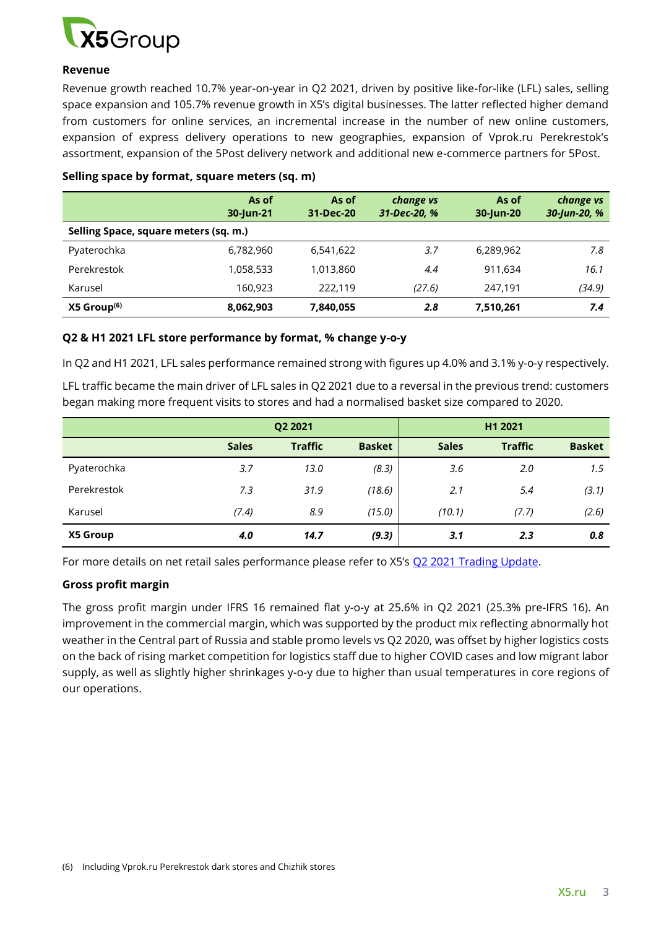

### **Revenue**

Revenue growth reached 10.7% year-on-year in Q2 2021, driven by positive like-for-like (LFL) sales, selling space expansion and 105.7% revenue growth in X5's digital businesses. The latter reflected higher demand from customers for online services, an incremental increase in the number of new online customers, expansion of express delivery operations to new geographies, expansion of Vprok.ru Perekrestok's assortment, expansion of the 5Post delivery network and additional new e-commerce partners for 5Post.

|                                       | As of<br>30-Jun-21 | As of<br>31-Dec-20 | change vs<br>31-Dec-20, % | As of<br>30-Jun-20 | change vs<br>30-Jun-20, % |
|---------------------------------------|--------------------|--------------------|---------------------------|--------------------|---------------------------|
| Selling Space, square meters (sq. m.) |                    |                    |                           |                    |                           |
| Pyaterochka                           | 6,782,960          | 6,541,622          | 3.7                       | 6,289,962          | 7.8                       |
| Perekrestok                           | 1,058,533          | 1,013,860          | 4.4                       | 911,634            | 16.1                      |
| Karusel                               | 160,923            | 222.119            | (27.6)                    | 247,191            | (34.9)                    |
| $X5$ Group <sup>(6)</sup>             | 8,062,903          | 7,840,055          | 2.8                       | 7,510,261          | 7.4                       |

### **Selling space by format, square meters (sq. m)**

### **Q2 & H1 2021 LFL store performance by format, % change y-o-y**

In Q2 and H1 2021, LFL sales performance remained strong with figures up 4.0% and 3.1% y-o-y respectively.

LFL traffic became the main driver of LFL sales in Q2 2021 due to a reversal in the previous trend: customers began making more frequent visits to stores and had a normalised basket size compared to 2020.

|             | Q2 2021      |                |               | H1 2021      |                |               |
|-------------|--------------|----------------|---------------|--------------|----------------|---------------|
|             | <b>Sales</b> | <b>Traffic</b> | <b>Basket</b> | <b>Sales</b> | <b>Traffic</b> | <b>Basket</b> |
| Pyaterochka | 3.7          | 13.0           | (8.3)         | 3.6          | 2.0            | 1.5           |
| Perekrestok | 7.3          | 31.9           | (18.6)        | 2.1          | 5.4            | (3.1)         |
| Karusel     | (7.4)        | 8.9            | (15.0)        | (10.1)       | (7.7)          | (2.6)         |
| X5 Group    | 4.0          | 14.7           | (9.3)         | 3.1          | 2.3            | 0.8           |

For more details on net retail sales performance please refer to X5's [Q2 2021 Trading Update.](https://www.x5.ru/en/PublishingImages/Pages/Media/News/Q2_2021_Trading_Update_ENG.PDF)

### **Gross profit margin**

The gross profit margin under IFRS 16 remained flat y-o-y at 25.6% in Q2 2021 (25.3% pre-IFRS 16). An improvement in the commercial margin, which was supported by the product mix reflecting abnormally hot weather in the Central part of Russia and stable promo levels vs Q2 2020, was offset by higher logistics costs on the back of rising market competition for logistics staff due to higher COVID cases and low migrant labor supply, as well as slightly higher shrinkages y-o-y due to higher than usual temperatures in core regions of our operations.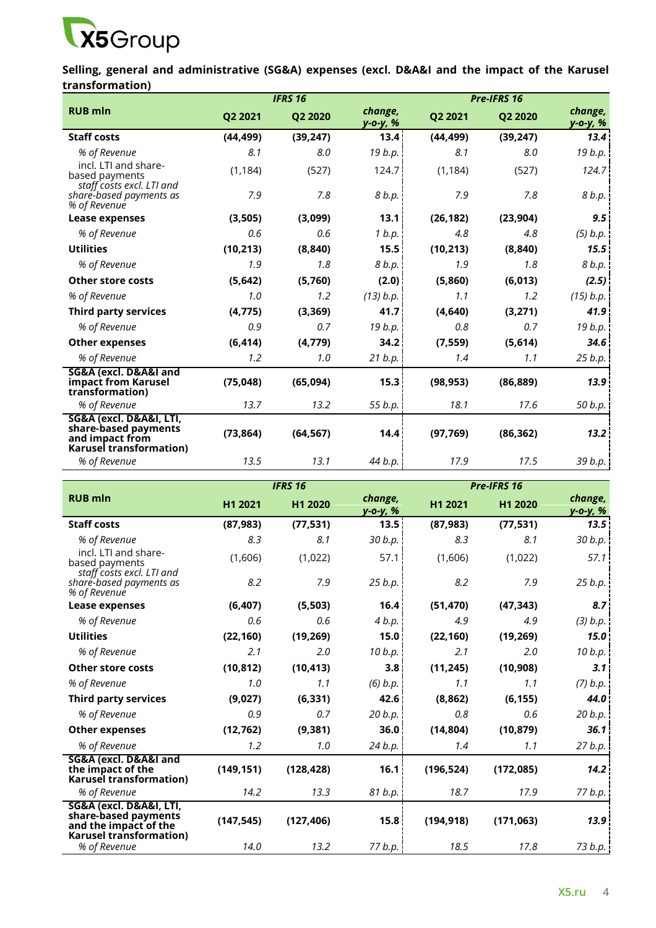

**Selling, general and administrative (SG&A) expenses (excl. D&A&I and the impact of the Karusel transformation)** 

| <b>RUB mln</b><br>change,<br>Q2 2021<br>Q2 2020<br>Q2 2021<br>Q2 2020<br>у-о-у, %<br>13.4 <sup>1</sup><br><b>Staff costs</b><br>(44, 499)<br>(39, 247)<br>(44, 499)<br>(39, 247) | change,<br>у-о-у, %<br>19 b.p. |
|----------------------------------------------------------------------------------------------------------------------------------------------------------------------------------|--------------------------------|
|                                                                                                                                                                                  | 13.4                           |
|                                                                                                                                                                                  |                                |
| 19 $b.p.$<br>8.1<br>8.0<br>8.0<br>% of Revenue<br>8.1                                                                                                                            |                                |
| incl. LTI and share-<br>124.7<br>(1, 184)<br>(527)<br>(1, 184)<br>(527)<br>based payments<br>staff costs excl. LTI and                                                           | 124.7                          |
| 7.9<br>7.8<br>8 b.p.<br>7.8<br>7.9<br>share-based payments as<br>% of Revenue                                                                                                    | 8 b.p.                         |
| 13.1<br>(26, 182)<br>(3,505)<br>(3,099)<br>(23, 904)<br>Lease expenses                                                                                                           | 9.5                            |
| % of Revenue<br>0.6<br>0.6<br>1 b.p.<br>4.8<br>4.8                                                                                                                               | $(5)$ b.p.                     |
| <b>Utilities</b><br>15.5 <sup>1</sup><br>(10, 213)<br>(10, 213)<br>(8, 840)<br>(8, 840)                                                                                          | 15.5                           |
| 1.9<br>8 b.p.<br>% of Revenue<br>1.8<br>1.9<br>1.8                                                                                                                               | 8 b.p.                         |
| <b>Other store costs</b><br>(5,642)<br>(5,760)<br>(2.0)<br>(5,860)<br>(6, 013)                                                                                                   | (2.5)                          |
| (13) b.p.<br>% of Revenue<br>1.0<br>1.2<br>1.1<br>1.2                                                                                                                            | (15) b.p.                      |
| 41.7 <sub>1</sub><br><b>Third party services</b><br>(4, 775)<br>(3, 369)<br>(4,640)<br>(3,271)                                                                                   | 41.9                           |
| 19 b.p.<br>% of Revenue<br>0.7<br>0.7<br>0.9<br>0.8                                                                                                                              | 19 b.p.                        |
| (4, 779)<br>34.2 <sub>1</sub><br>(5,614)<br>(6, 414)<br>(7, 559)<br><b>Other expenses</b>                                                                                        | 34.6                           |
| % of Revenue<br>1.2<br>1.0<br>21 b.p.<br>1.1<br>1.4                                                                                                                              | 25 b.p.                        |
| SG&A (excl. D&A&I and<br>impact from Karusel<br>(75, 048)<br>(65,094)<br>15.3<br>(86, 889)<br>(98, 953)<br>transformation)                                                       | 13.9                           |
| % of Revenue<br>13.7<br>55 b.p.<br>18.1<br>17.6<br>13.2                                                                                                                          | 50 b.p.                        |
| SG&A (excl. D&A&I, LTI,<br>share-based payments<br>(73, 864)<br>(64, 567)<br>14.4<br>(86, 362)<br>(97, 769)<br>and impact from<br>Karusel transformation)                        | 13.2                           |
| % of Revenue<br>13.5<br>44 b.p.<br>17.5<br>13.1<br>17.9                                                                                                                          | 39 b.p.                        |

|                                                                                                            | <b>IFRS 16</b> |            |                     | Pre-IFRS 16 |            |                     |  |
|------------------------------------------------------------------------------------------------------------|----------------|------------|---------------------|-------------|------------|---------------------|--|
| <b>RUB mln</b>                                                                                             | H1 2021        | H1 2020    | change,<br>у-о-у, % | H1 2021     | H1 2020    | change,<br>у-о-у, % |  |
| <b>Staff costs</b>                                                                                         | (87, 983)      | (77, 531)  | 13.5                | (87, 983)   | (77, 531)  | 13.5 <sup>1</sup>   |  |
| % of Revenue                                                                                               | 8.3            | 8.1        | 30 b.p.             | 8.3         | 8.1        | 30 b.p.             |  |
| incl. LTI and share-<br>based payments<br>staff costs excl. LTI and                                        | (1,606)        | (1,022)    | 57.1                | (1,606)     | (1,022)    | 57.1                |  |
| share-based payments as<br>% of Revenue                                                                    | 8.2            | 7.9        | 25 b.p.             | 8.2         | 7.9        | 25 b.p.             |  |
| Lease expenses                                                                                             | (6, 407)       | (5, 503)   | 16.4                | (51, 470)   | (47, 343)  | 8.7 <sub>1</sub>    |  |
| % of Revenue                                                                                               | 0.6            | 0.6        | 4 b.p.              | 4.9         | 4.9        | (3) b.p.            |  |
| <b>Utilities</b>                                                                                           | (22, 160)      | (19, 269)  | 15.0                | (22, 160)   | (19, 269)  | 15.0 <sub>1</sub>   |  |
| % of Revenue                                                                                               | 2.1            | 2.0        | 10 b.p.             | 2.1         | 2.0        | 10 b.p. \           |  |
| <b>Other store costs</b>                                                                                   | (10, 812)      | (10, 413)  | 3.8                 | (11, 245)   | (10, 908)  | 3.1                 |  |
| % of Revenue                                                                                               | 1.0            | 1.1        | (6) b.p.            | 1.1         | 1.1        | (7) b.p.            |  |
| <b>Third party services</b>                                                                                | (9,027)        | (6, 331)   | 42.6                | (8, 862)    | (6, 155)   | $44.0^{\circ}$      |  |
| % of Revenue                                                                                               | 0.9            | 0.7        | 20 b.p.             | 0.8         | 0.6        | 20 b.p.             |  |
| <b>Other expenses</b>                                                                                      | (12, 762)      | (9, 381)   | 36.0 <sup>1</sup>   | (14, 804)   | (10, 879)  | 36.1                |  |
| % of Revenue                                                                                               | 1.2            | 1.0        | 24 b.p.             | 1.4         | 1.1        | 27 b.p.             |  |
| SG&A (excl. D&A&I and<br>the impact of the<br><b>Karusel transformation)</b>                               | (149, 151)     | (128, 428) | 16.1                | (196, 524)  | (172, 085) | 14.2                |  |
| % of Revenue                                                                                               | 14.2           | 13.3       | 81 b.p.             | 18.7        | 17.9       | 77 b.p. \           |  |
| SG&A (excl. D&A&I, LTI,<br>share-based payments<br>and the impact of the<br><b>Karusel transformation)</b> | (147, 545)     | (127, 406) | 15.8                | (194, 918)  | (171, 063) | 13.9                |  |
| % of Revenue                                                                                               | 14.0           | 13.2       | 77 $b.p.$           | 18.5        | 17.8       | 73 b.p.             |  |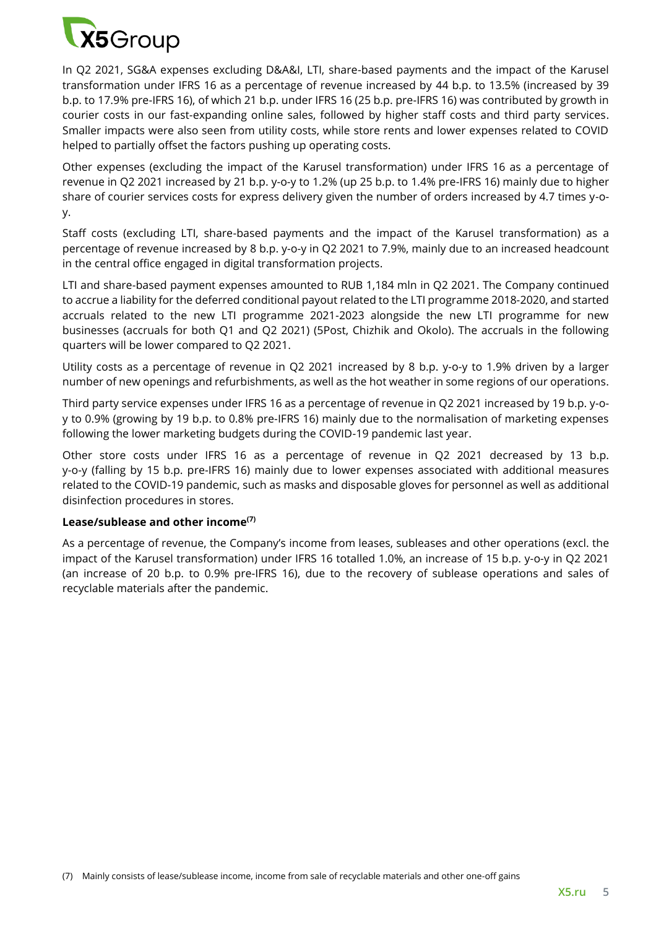

In Q2 2021, SG&A expenses excluding D&A&I, LTI, share-based payments and the impact of the Karusel transformation under IFRS 16 as a percentage of revenue increased by 44 b.p. to 13.5% (increased by 39 b.p. to 17.9% pre-IFRS 16), of which 21 b.p. under IFRS 16 (25 b.p. pre-IFRS 16) was contributed by growth in courier costs in our fast-expanding online sales, followed by higher staff costs and third party services. Smaller impacts were also seen from utility costs, while store rents and lower expenses related to COVID helped to partially offset the factors pushing up operating costs.

Other expenses (excluding the impact of the Karusel transformation) under IFRS 16 as a percentage of revenue in Q2 2021 increased by 21 b.p. y-o-y to 1.2% (up 25 b.p. to 1.4% pre-IFRS 16) mainly due to higher share of courier services costs for express delivery given the number of orders increased by 4.7 times y-oy.

Staff costs (excluding LTI, share-based payments and the impact of the Karusel transformation) as a percentage of revenue increased by 8 b.p. y-o-y in Q2 2021 to 7.9%, mainly due to an increased headcount in the central office engaged in digital transformation projects.

LTI and share-based payment expenses amounted to RUB 1,184 mln in Q2 2021. The Company continued to accrue a liability for the deferred conditional payout related to the LTI programme 2018-2020, and started accruals related to the new LTI programme 2021-2023 alongside the new LTI programme for new businesses (accruals for both Q1 and Q2 2021) (5Post, Chizhik and Okolo). The accruals in the following quarters will be lower compared to Q2 2021.

Utility costs as a percentage of revenue in Q2 2021 increased by 8 b.p. y-o-y to 1.9% driven by a larger number of new openings and refurbishments, as well as the hot weather in some regions of our operations.

Third party service expenses under IFRS 16 as a percentage of revenue in Q2 2021 increased by 19 b.p. y-oy to 0.9% (growing by 19 b.p. to 0.8% pre-IFRS 16) mainly due to the normalisation of marketing expenses following the lower marketing budgets during the COVID-19 pandemic last year.

Other store costs under IFRS 16 as a percentage of revenue in Q2 2021 decreased by 13 b.p. y-o-y (falling by 15 b.p. pre-IFRS 16) mainly due to lower expenses associated with additional measures related to the COVID-19 pandemic, such as masks and disposable gloves for personnel as well as additional disinfection procedures in stores.

### **Lease/sublease and other income(7)**

As a percentage of revenue, the Company's income from leases, subleases and other operations (excl. the impact of the Karusel transformation) under IFRS 16 totalled 1.0%, an increase of 15 b.p. y-o-y in Q2 2021 (an increase of 20 b.p. to 0.9% pre-IFRS 16), due to the recovery of sublease operations and sales of recyclable materials after the pandemic.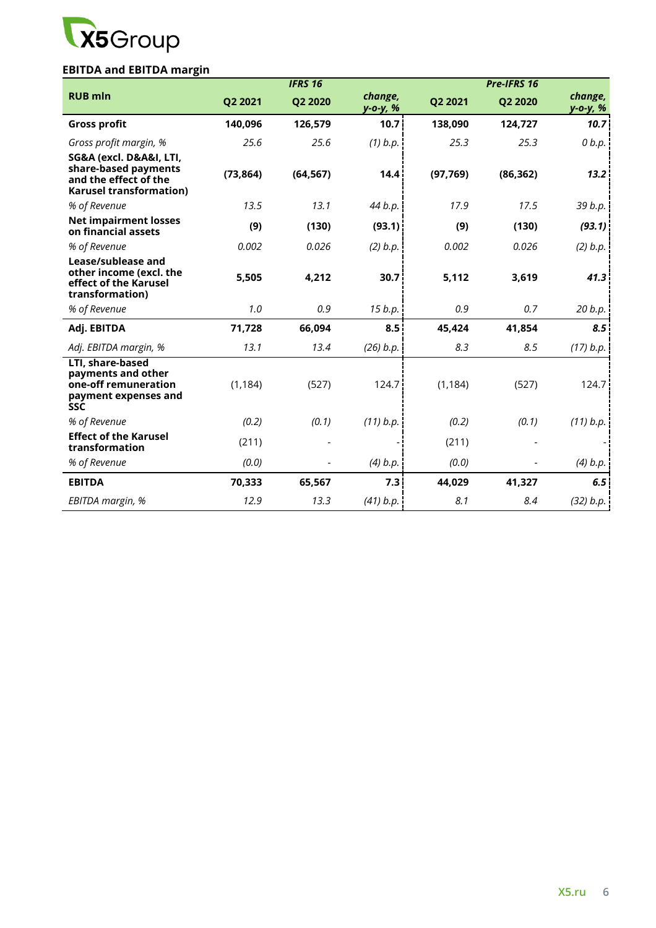

# **EBITDA and EBITDA margin**

|                                                                                                            |           | <b>IFRS 16</b> |                            |           | Pre-IFRS 16 |                     |
|------------------------------------------------------------------------------------------------------------|-----------|----------------|----------------------------|-----------|-------------|---------------------|
| <b>RUB mln</b>                                                                                             | Q2 2021   | Q2 2020        | change,<br><u>y-o-y, %</u> | Q2 2021   | Q2 2020     | change,<br>у-о-у, % |
| <b>Gross profit</b>                                                                                        | 140,096   | 126,579        | 10.7                       | 138,090   | 124,727     | 10.7                |
| Gross profit margin, %                                                                                     | 25.6      | 25.6           | $(1)$ b.p.                 | 25.3      | 25.3        | 0 b.p.              |
| SG&A (excl. D&A&I, LTI,<br>share-based payments<br>and the effect of the<br><b>Karusel transformation)</b> | (73, 864) | (64, 567)      | 14.4                       | (97, 769) | (86, 362)   | 13.2                |
| % of Revenue                                                                                               | 13.5      | 13.1           | 44 b.p.                    | 17.9      | 17.5        | 39 b.p.             |
| <b>Net impairment losses</b><br>on financial assets                                                        | (9)       | (130)          | (93.1)                     | (9)       | (130)       | (93.1)              |
| % of Revenue                                                                                               | 0.002     | 0.026          | (2) b.p.                   | 0.002     | 0.026       | (2) b.p.            |
| Lease/sublease and<br>other income (excl. the<br>effect of the Karusel<br>transformation)                  | 5,505     | 4,212          | 30.7                       | 5,112     | 3,619       | 41.3                |
| % of Revenue                                                                                               | 1.0       | 0.9            | 15 b.p.                    | 0.9       | 0.7         | 20 b.p.             |
| Adj. EBITDA                                                                                                | 71,728    | 66,094         | 8.5                        | 45,424    | 41,854      | 8.5                 |
| Adj. EBITDA margin, %                                                                                      | 13.1      | 13.4           | $(26)$ b.p.                | 8.3       | 8.5         | (17) b.p.           |
| LTI, share-based<br>payments and other<br>one-off remuneration<br>payment expenses and<br><b>SSC</b>       | (1, 184)  | (527)          | 124.7                      | (1, 184)  | (527)       | 124.7               |
| % of Revenue                                                                                               | (0.2)     | (0.1)          | (11) b.p.                  | (0.2)     | (0.1)       | (11) b.p.           |
| <b>Effect of the Karusel</b><br>transformation                                                             | (211)     |                |                            | (211)     |             |                     |
| % of Revenue                                                                                               | (0.0)     |                | $(4)$ b.p.                 | (0.0)     |             | (4) b.p.            |
| <b>EBITDA</b>                                                                                              | 70,333    | 65,567         | 7.3                        | 44,029    | 41,327      | 6.5                 |
| EBITDA margin, %                                                                                           | 12.9      | 13.3           | (41) b.p.                  | 8.1       | 8.4         | (32) b.p.           |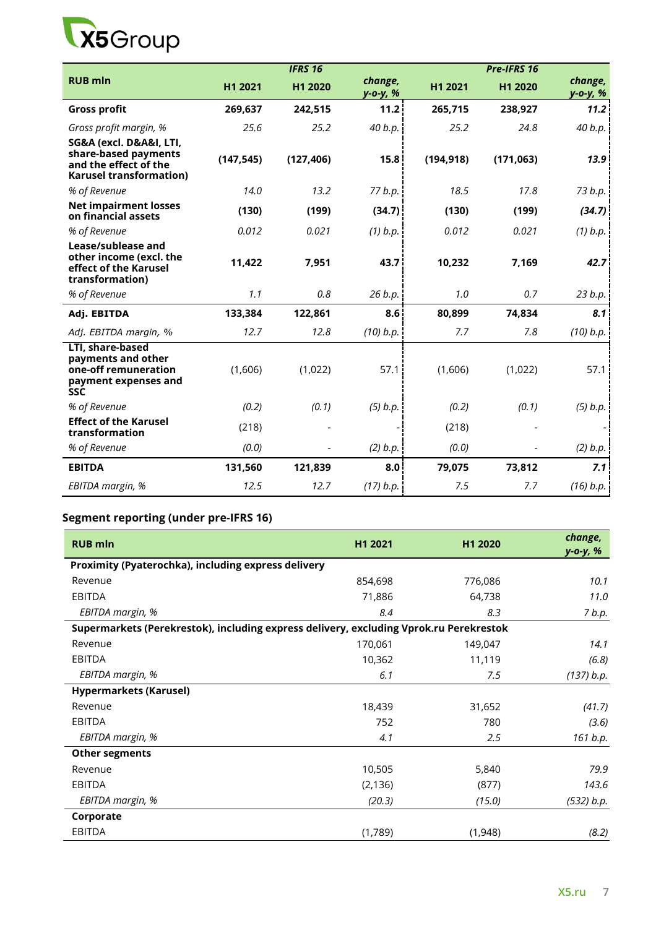

|                                                                                                            |            | <b>IFRS 16</b> |                     |            | Pre-IFRS 16 |                     |
|------------------------------------------------------------------------------------------------------------|------------|----------------|---------------------|------------|-------------|---------------------|
| <b>RUB mln</b>                                                                                             | H1 2021    | H1 2020        | change,<br>у-о-у, % | H1 2021    | H1 2020     | change,<br>у-о-у, % |
| <b>Gross profit</b>                                                                                        | 269,637    | 242,515        | 11.2                | 265,715    | 238,927     | 11.2                |
| Gross profit margin, %                                                                                     | 25.6       | 25.2           | 40 b.p.             | 25.2       | 24.8        | 40 b.p.             |
| SG&A (excl. D&A&I, LTI,<br>share-based payments<br>and the effect of the<br><b>Karusel transformation)</b> | (147, 545) | (127, 406)     | 15.8                | (194, 918) | (171, 063)  | 13.9                |
| % of Revenue                                                                                               | 14.0       | 13.2           | 77 b.p.             | 18.5       | 17.8        | 73 b.p.             |
| <b>Net impairment losses</b><br>on financial assets                                                        | (130)      | (199)          | (34.7)              | (130)      | (199)       | (34.7)              |
| % of Revenue                                                                                               | 0.012      | 0.021          | $(1)$ b.p.          | 0.012      | 0.021       | $(1)$ b.p.          |
| Lease/sublease and<br>other income (excl. the<br>effect of the Karusel<br>transformation)                  | 11,422     | 7,951          | 43.7                | 10,232     | 7,169       | 42.7                |
| % of Revenue                                                                                               | 1.1        | 0.8            | 26 b.p.             | 1.0        | 0.7         | 23 b.p.             |
| Adj. EBITDA                                                                                                | 133,384    | 122,861        | 8.6                 | 80,899     | 74,834      | 8.1                 |
| Adj. EBITDA margin, %                                                                                      | 12.7       | 12.8           | $(10)$ b.p.         | 7.7        | 7.8         | (10) b.p.           |
| LTI, share-based<br>payments and other<br>one-off remuneration<br>payment expenses and<br><b>SSC</b>       | (1,606)    | (1,022)        | 57.1                | (1,606)    | (1,022)     | 57.1                |
| % of Revenue                                                                                               | (0.2)      | (0.1)          | $(5)$ b.p.          | (0.2)      | (0.1)       | $(5)$ b.p.          |
| <b>Effect of the Karusel</b><br>transformation                                                             | (218)      |                |                     | (218)      |             |                     |
| % of Revenue                                                                                               | (0.0)      |                | (2) b.p.            | (0.0)      |             | (2) b.p.            |
| <b>EBITDA</b>                                                                                              | 131,560    | 121,839        | 8.0                 | 79,075     | 73,812      | 7.1                 |
| EBITDA margin, %                                                                                           | 12.5       | 12.7           | (17) b.p.           | 7.5        | 7.7         | (16) b.p.           |

# **Segment reporting (under pre-IFRS 16)**

| <b>RUB</b> mln                                                                         | H1 2021  | H1 2020 | change,<br>y-o-y, % |
|----------------------------------------------------------------------------------------|----------|---------|---------------------|
| Proximity (Pyaterochka), including express delivery                                    |          |         |                     |
| Revenue                                                                                | 854,698  | 776,086 | 10.1                |
| <b>EBITDA</b>                                                                          | 71,886   | 64,738  | 11.0                |
| EBITDA margin, %                                                                       | 8.4      | 8.3     | 7 b.p.              |
| Supermarkets (Perekrestok), including express delivery, excluding Vprok.ru Perekrestok |          |         |                     |
| Revenue                                                                                | 170,061  | 149,047 | 14.1                |
| EBITDA                                                                                 | 10,362   | 11,119  | (6.8)               |
| EBITDA margin, %                                                                       | 6.1      | 7.5     | (137) b.p.          |
| <b>Hypermarkets (Karusel)</b>                                                          |          |         |                     |
| Revenue                                                                                | 18,439   | 31,652  | (41.7)              |
| <b>EBITDA</b>                                                                          | 752      | 780     | (3.6)               |
| EBITDA margin, %                                                                       | 4.1      | 2.5     | 161 b.p.            |
| <b>Other segments</b>                                                                  |          |         |                     |
| Revenue                                                                                | 10,505   | 5,840   | 79.9                |
| <b>EBITDA</b>                                                                          | (2, 136) | (877)   | 143.6               |
| EBITDA margin, %                                                                       | (20.3)   | (15.0)  | (532) b.p.          |
| Corporate                                                                              |          |         |                     |
| EBITDA                                                                                 | (1,789)  | (1,948) | (8.2)               |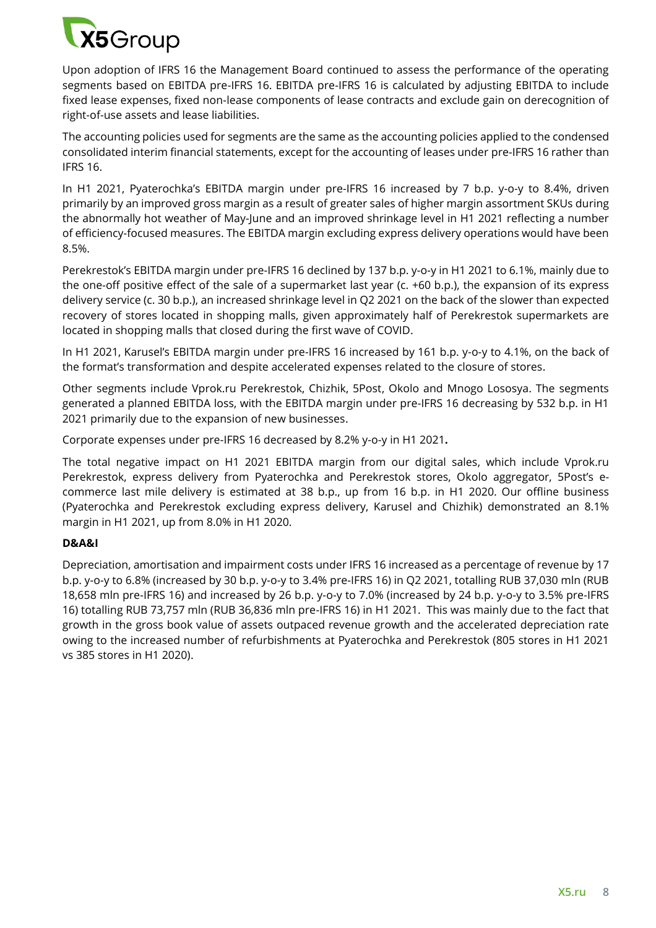

Upon adoption of IFRS 16 the Management Board continued to assess the performance of the operating segments based on EBITDA pre-IFRS 16. EBITDA pre-IFRS 16 is calculated by adjusting EBITDA to include fixed lease expenses, fixed non-lease components of lease contracts and exclude gain on derecognition of right-of-use assets and lease liabilities.

The accounting policies used for segments are the same as the accounting policies applied to the condensed consolidated interim financial statements, except for the accounting of leases under pre-IFRS 16 rather than IFRS 16.

In H1 2021, Pyaterochka's EBITDA margin under pre-IFRS 16 increased by 7 b.p. y-o-y to 8.4%, driven primarily by an improved gross margin as a result of greater sales of higher margin assortment SKUs during the abnormally hot weather of May-June and an improved shrinkage level in H1 2021 reflecting a number of efficiency-focused measures. The EBITDA margin excluding express delivery operations would have been 8.5%.

Perekrestok's EBITDA margin under pre-IFRS 16 declined by 137 b.p. y-o-y in H1 2021 to 6.1%, mainly due to the one-off positive effect of the sale of a supermarket last year (c. +60 b.p.), the expansion of its express delivery service (c. 30 b.p.), an increased shrinkage level in Q2 2021 on the back of the slower than expected recovery of stores located in shopping malls, given approximately half of Perekrestok supermarkets are located in shopping malls that closed during the first wave of COVID.

In H1 2021, Karusel's EBITDA margin under pre-IFRS 16 increased by 161 b.p. y-o-y to 4.1%, on the back of the format's transformation and despite accelerated expenses related to the closure of stores.

Other segments include Vprok.ru Perekrestok, Chizhik, 5Post, Okolo and Mnogo Lososya. The segments generated a planned EBITDA loss, with the EBITDA margin under pre-IFRS 16 decreasing by 532 b.p. in H1 2021 primarily due to the expansion of new businesses.

Corporate expenses under pre-IFRS 16 decreased by 8.2% y-o-y in H1 2021**.** 

The total negative impact on H1 2021 EBITDA margin from our digital sales, which include Vprok.ru Perekrestok, express delivery from Pyaterochka and Perekrestok stores, Okolo aggregator, 5Post's ecommerce last mile delivery is estimated at 38 b.p., up from 16 b.p. in H1 2020. Our offline business (Pyaterochka and Perekrestok excluding express delivery, Karusel and Chizhik) demonstrated an 8.1% margin in H1 2021, up from 8.0% in H1 2020.

### **D&A&I**

Depreciation, amortisation and impairment costs under IFRS 16 increased as a percentage of revenue by 17 b.p. y-o-y to 6.8% (increased by 30 b.p. y-o-y to 3.4% pre-IFRS 16) in Q2 2021, totalling RUB 37,030 mln (RUB 18,658 mln pre-IFRS 16) and increased by 26 b.p. y-o-y to 7.0% (increased by 24 b.p. y-o-y to 3.5% pre-IFRS 16) totalling RUB 73,757 mln (RUB 36,836 mln pre-IFRS 16) in H1 2021. This was mainly due to the fact that growth in the gross book value of assets outpaced revenue growth and the accelerated depreciation rate owing to the increased number of refurbishments at Pyaterochka and Perekrestok (805 stores in H1 2021 vs 385 stores in H1 2020).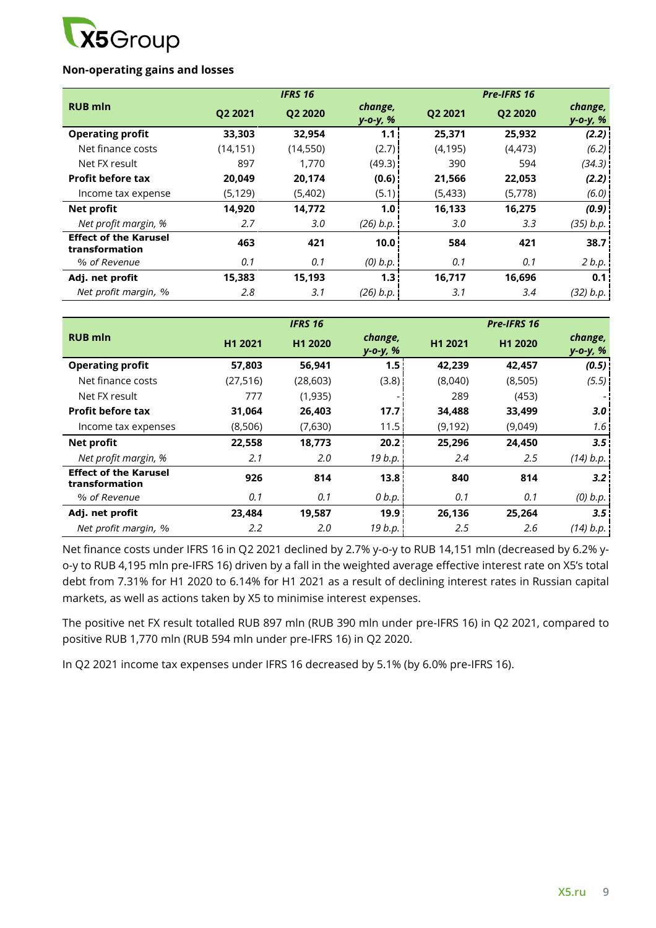

### **Non-operating gains and losses**

|                                                |           | <b>IFRS 16</b> |                     |          | Pre-IFRS 16 |                     |
|------------------------------------------------|-----------|----------------|---------------------|----------|-------------|---------------------|
| <b>RUB mln</b>                                 | Q2 2021   | Q2 2020        | change,<br>y-o-y, % | Q2 2021  | Q2 2020     | change,<br>y-o-y, % |
| <b>Operating profit</b>                        | 33,303    | 32,954         | 1.1                 | 25,371   | 25,932      | (2.2)               |
| Net finance costs                              | (14, 151) | (14, 550)      | (2.7)               | (4, 195) | (4, 473)    | (6.2)               |
| Net FX result                                  | 897       | 1,770          | (49.3)              | 390      | 594         | (34.3)              |
| <b>Profit before tax</b>                       | 20,049    | 20,174         | (0.6)               | 21,566   | 22,053      | (2.2)               |
| Income tax expense                             | (5, 129)  | (5,402)        | (5.1)               | (5, 433) | (5,778)     | (6.0)               |
| Net profit                                     | 14,920    | 14,772         | 1.0 <sub>1</sub>    | 16,133   | 16,275      | (0.9)               |
| Net profit margin, %                           | 2.7       | 3.0            | (26) b.p.           | 3.0      | 3.3         | (35) b.p.           |
| <b>Effect of the Karusel</b><br>transformation | 463       | 421            | 10.0                | 584      | 421         | 38.7                |
| % of Revenue                                   | 0.1       | 0.1            | $(0)$ $b.p.$        | 0.1      | 0.1         | 2 b.p.              |
| Adj. net profit                                | 15,383    | 15,193         | 1.3 <sub>1</sub>    | 16,717   | 16,696      | 0.1                 |
| Net profit margin, %                           | 2.8       | 3.1            | (26) b.p.           | 3.1      | 3.4         | (32) b.p.           |

|                                                |           | <b>IFRS 16</b> |                     |         | Pre-IFRS 16 |                     |
|------------------------------------------------|-----------|----------------|---------------------|---------|-------------|---------------------|
| <b>RUB mln</b>                                 | H1 2021   | H1 2020        | change,<br>y-o-y, % | H1 2021 | H1 2020     | change,<br>y-o-y, % |
| <b>Operating profit</b>                        | 57,803    | 56,941         | 1.5 <sub>1</sub>    | 42,239  | 42,457      | (0.5)               |
| Net finance costs                              | (27, 516) | (28, 603)      | (3.8)               | (8,040) | (8,505)     | (5.5)               |
| Net FX result                                  | 777       | (1,935)        |                     | 289     | (453)       |                     |
| <b>Profit before tax</b>                       | 31,064    | 26,403         | 17.7                | 34,488  | 33,499      | 3.0                 |
| Income tax expenses                            | (8,506)   | (7,630)        | 11.5!               | (9,192) | (9,049)     | 1.6 <sup>1</sup>    |
| <b>Net profit</b>                              | 22,558    | 18,773         | 20.2 <sub>1</sub>   | 25,296  | 24,450      | 3.5                 |
| Net profit margin, %                           | 2.1       | 2.0            | 19 b.p.             | 2.4     | 2.5         | (14) b.p.           |
| <b>Effect of the Karusel</b><br>transformation | 926       | 814            | 13.8                | 840     | 814         | 3.2                 |
| % of Revenue                                   | 0.1       | 0.1            | 0 b.p.              | 0.1     | 0.1         | $(0)$ $b.p.$        |
| Adj. net profit                                | 23,484    | 19,587         | 19.9                | 26,136  | 25,264      | 3.5                 |
| Net profit margin, %                           | 2.2       | 2.0            | 19 b.p.             | 2.5     | 2.6         | (14) b.p.           |

Net finance costs under IFRS 16 in Q2 2021 declined by 2.7% y-o-y to RUB 14,151 mln (decreased by 6.2% yo-y to RUB 4,195 mln pre-IFRS 16) driven by a fall in the weighted average effective interest rate on X5's total debt from 7.31% for H1 2020 to 6.14% for H1 2021 as a result of declining interest rates in Russian capital markets, as well as actions taken by X5 to minimise interest expenses.

The positive net FX result totalled RUB 897 mln (RUB 390 mln under pre-IFRS 16) in Q2 2021, compared to positive RUB 1,770 mln (RUB 594 mln under pre-IFRS 16) in Q2 2020.

In Q2 2021 income tax expenses under IFRS 16 decreased by 5.1% (by 6.0% pre-IFRS 16).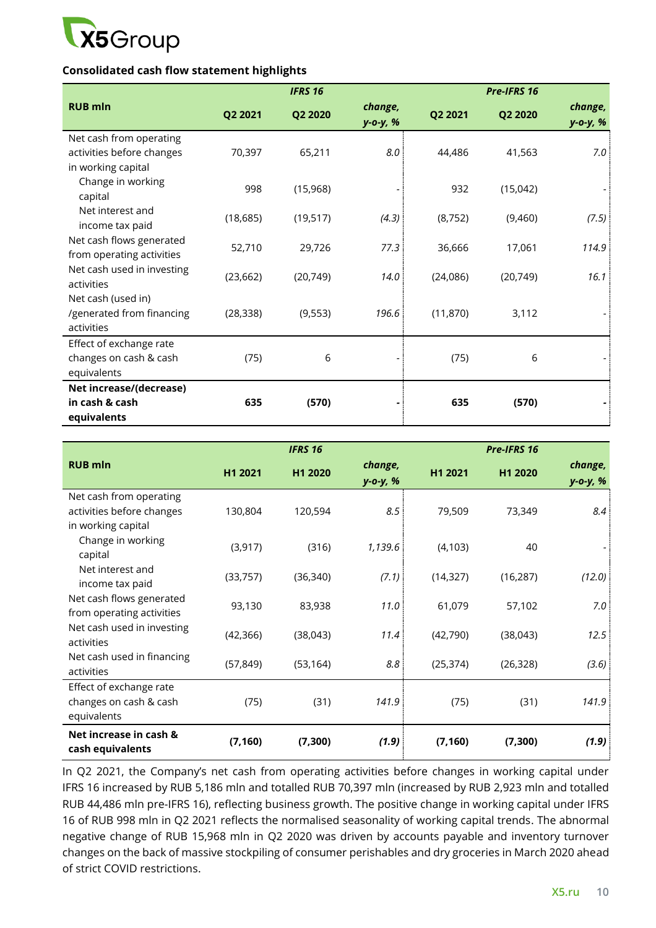

### **Consolidated cash flow statement highlights**

|                                                                            |           | <b>IFRS 16</b> |                     |           | Pre-IFRS 16 |                     |
|----------------------------------------------------------------------------|-----------|----------------|---------------------|-----------|-------------|---------------------|
| <b>RUB mln</b>                                                             | Q2 2021   | Q2 2020        | change,<br>y-o-y, % | Q2 2021   | Q2 2020     | change,<br>y-o-y, % |
| Net cash from operating<br>activities before changes<br>in working capital | 70,397    | 65,211         | 8.0                 | 44,486    | 41,563      | 7.0                 |
| Change in working<br>capital                                               | 998       | (15,968)       |                     | 932       | (15,042)    |                     |
| Net interest and<br>income tax paid                                        | (18, 685) | (19, 517)      | (4.3)               | (8, 752)  | (9,460)     | (7.5)               |
| Net cash flows generated<br>from operating activities                      | 52,710    | 29,726         | 77.3                | 36,666    | 17,061      | 114.9               |
| Net cash used in investing<br>activities                                   | (23, 662) | (20, 749)      | 14.0                | (24,086)  | (20, 749)   | 16.1                |
| Net cash (used in)<br>/generated from financing<br>activities              | (28, 338) | (9, 553)       | 196.6               | (11, 870) | 3,112       |                     |
| Effect of exchange rate<br>changes on cash & cash<br>equivalents           | (75)      | 6              |                     | (75)      | 6           |                     |
| Net increase/(decrease)<br>in cash & cash<br>equivalents                   | 635       | (570)          |                     | 635       | (570)       |                     |

|                                                                            |           | <b>IFRS 16</b> |                     |           | Pre-IFRS 16 |                           |
|----------------------------------------------------------------------------|-----------|----------------|---------------------|-----------|-------------|---------------------------|
| <b>RUB mln</b>                                                             | H1 2021   | H1 2020        | change,<br>y-o-y, % | H1 2021   | H1 2020     | change,<br>$y - 0 - y, %$ |
| Net cash from operating<br>activities before changes<br>in working capital | 130,804   | 120,594        | 8.5                 | 79,509    | 73,349      | 8.4                       |
| Change in working<br>capital                                               | (3, 917)  | (316)          | 1,139.6             | (4, 103)  | 40          |                           |
| Net interest and<br>income tax paid                                        | (33, 757) | (36, 340)      | (7.1)               | (14, 327) | (16, 287)   | (12.0)                    |
| Net cash flows generated<br>from operating activities                      | 93,130    | 83,938         | 11.0                | 61,079    | 57,102      | 7.0                       |
| Net cash used in investing<br>activities                                   | (42, 366) | (38,043)       | 11.4                | (42,790)  | (38,043)    | 12.5                      |
| Net cash used in financing<br>activities                                   | (57, 849) | (53, 164)      | 8.8                 | (25, 374) | (26, 328)   | (3.6)                     |
| Effect of exchange rate<br>changes on cash & cash<br>equivalents           | (75)      | (31)           | 141.9               | (75)      | (31)        | 141.9                     |
| Net increase in cash &<br>cash equivalents                                 | (7, 160)  | (7, 300)       | (1.9)               | (7, 160)  | (7, 300)    | (1.9)                     |

In Q2 2021, the Company's net cash from operating activities before changes in working capital under IFRS 16 increased by RUB 5,186 mln and totalled RUB 70,397 mln (increased by RUB 2,923 mln and totalled RUB 44,486 mln pre-IFRS 16), reflecting business growth. The positive change in working capital under IFRS 16 of RUB 998 mln in Q2 2021 reflects the normalised seasonality of working capital trends. The abnormal negative change of RUB 15,968 mln in Q2 2020 was driven by accounts payable and inventory turnover changes on the back of massive stockpiling of consumer perishables and dry groceries in March 2020 ahead of strict COVID restrictions.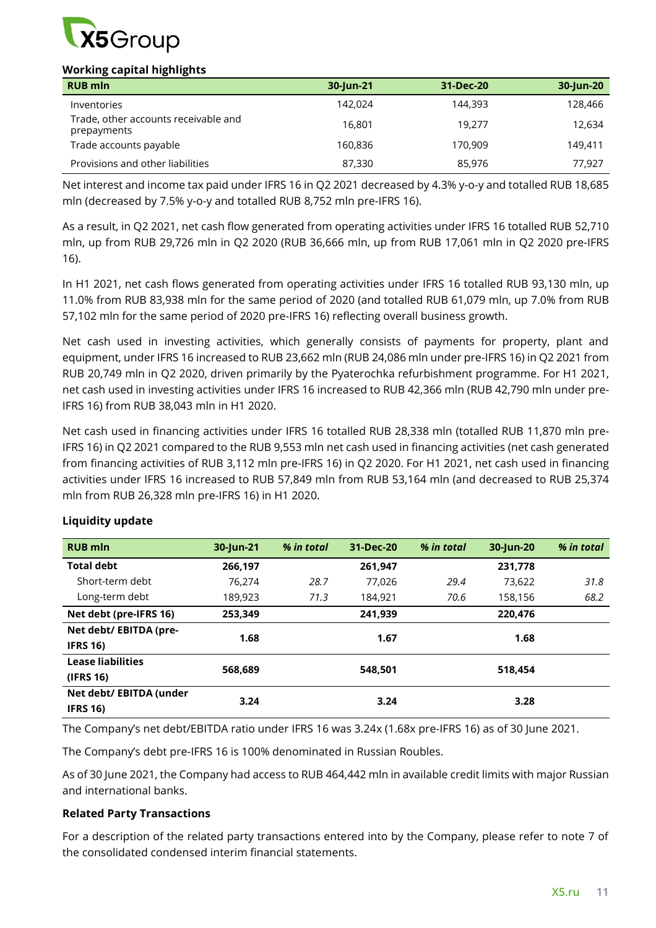

### **Working capital highlights**

| --<br>. .<br>--<br><b>RUB mln</b>                   | 30-Jun-21 | 31-Dec-20 | 30-Jun-20 |
|-----------------------------------------------------|-----------|-----------|-----------|
| Inventories                                         | 142.024   | 144,393   | 128,466   |
| Trade, other accounts receivable and<br>prepayments | 16.801    | 19.277    | 12,634    |
| Trade accounts payable                              | 160.836   | 170,909   | 149.411   |
| Provisions and other liabilities                    | 87,330    | 85,976    | 77,927    |

Net interest and income tax paid under IFRS 16 in Q2 2021 decreased by 4.3% y-o-y and totalled RUB 18,685 mln (decreased by 7.5% y-o-y and totalled RUB 8,752 mln pre-IFRS 16).

As a result, in Q2 2021, net cash flow generated from operating activities under IFRS 16 totalled RUB 52,710 mln, up from RUB 29,726 mln in Q2 2020 (RUB 36,666 mln, up from RUB 17,061 mln in Q2 2020 pre-IFRS 16).

In H1 2021, net cash flows generated from operating activities under IFRS 16 totalled RUB 93,130 mln, up 11.0% from RUB 83,938 mln for the same period of 2020 (and totalled RUB 61,079 mln, up 7.0% from RUB 57,102 mln for the same period of 2020 pre-IFRS 16) reflecting overall business growth.

Net cash used in investing activities, which generally consists of payments for property, plant and equipment, under IFRS 16 increased to RUB 23,662 mln (RUB 24,086 mln under pre-IFRS 16) in Q2 2021 from RUB 20,749 mln in Q2 2020, driven primarily by the Pyaterochka refurbishment programme. For H1 2021, net cash used in investing activities under IFRS 16 increased to RUB 42,366 mln (RUB 42,790 mln under pre-IFRS 16) from RUB 38,043 mln in H1 2020.

Net cash used in financing activities under IFRS 16 totalled RUB 28,338 mln (totalled RUB 11,870 mln pre-IFRS 16) in Q2 2021 compared to the RUB 9,553 mln net cash used in financing activities (net cash generated from financing activities of RUB 3,112 mln pre-IFRS 16) in Q2 2020. For H1 2021, net cash used in financing activities under IFRS 16 increased to RUB 57,849 mln from RUB 53,164 mln (and decreased to RUB 25,374 mln from RUB 26,328 mln pre-IFRS 16) in H1 2020.

| <b>RUB mln</b>           | 30-Jun-21 | % in total | 31-Dec-20 | % in total | 30-Jun-20 | % in total |
|--------------------------|-----------|------------|-----------|------------|-----------|------------|
| <b>Total debt</b>        | 266,197   |            | 261,947   |            | 231,778   |            |
| Short-term debt          | 76.274    | 28.7       | 77.026    | 29.4       | 73,622    | 31.8       |
| Long-term debt           | 189,923   | 71.3       | 184.921   | 70.6       | 158,156   | 68.2       |
| Net debt (pre-IFRS 16)   | 253.349   |            | 241,939   |            | 220.476   |            |
| Net debt/ EBITDA (pre-   | 1.68      |            | 1.67      |            | 1.68      |            |
| <b>IFRS 16)</b>          |           |            |           |            |           |            |
| <b>Lease liabilities</b> | 568.689   |            | 548.501   |            | 518.454   |            |
| (IFRS 16)                |           |            |           |            |           |            |
| Net debt/ EBITDA (under  | 3.24      |            | 3.24      |            | 3.28      |            |
| <b>IFRS 16)</b>          |           |            |           |            |           |            |

## **Liquidity update**

The Company's net debt/EBITDA ratio under IFRS 16 was 3.24x (1.68x pre-IFRS 16) as of 30 June 2021.

The Company's debt pre-IFRS 16 is 100% denominated in Russian Roubles.

As of 30 June 2021, the Company had access to RUB 464,442 mln in available credit limits with major Russian and international banks.

### **Related Party Transactions**

For a description of the related party transactions entered into by the Company, please refer to note 7 of the consolidated condensed interim financial statements.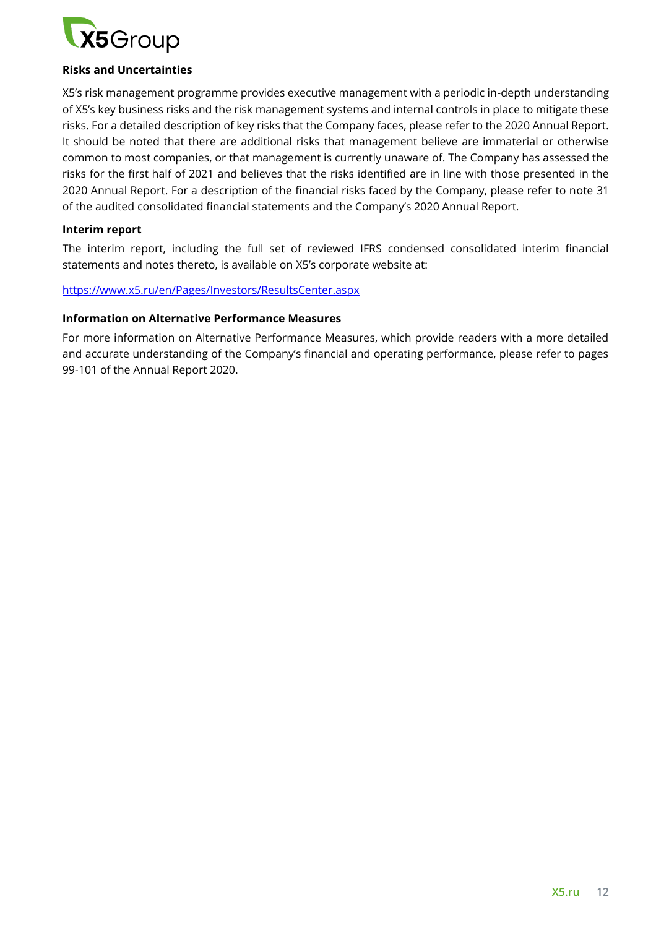

### **Risks and Uncertainties**

X5's risk management programme provides executive management with a periodic in-depth understanding of X5's key business risks and the risk management systems and internal controls in place to mitigate these risks. For a detailed description of key risks that the Company faces, please refer to the 2020 Annual Report. It should be noted that there are additional risks that management believe are immaterial or otherwise common to most companies, or that management is currently unaware of. The Company has assessed the risks for the first half of 2021 and believes that the risks identified are in line with those presented in the 2020 Annual Report. For a description of the financial risks faced by the Company, please refer to note 31 of the audited consolidated financial statements and the Company's 2020 Annual Report.

### **Interim report**

The interim report, including the full set of reviewed IFRS condensed consolidated interim financial statements and notes thereto, is available on X5's corporate website at:

### <https://www.x5.ru/en/Pages/Investors/ResultsCenter.aspx>

### **Information on Alternative Performance Measures**

For more information on Alternative Performance Measures, which provide readers with a more detailed and accurate understanding of the Company's financial and operating performance, please refer to pages 99-101 of the Annual Report 2020.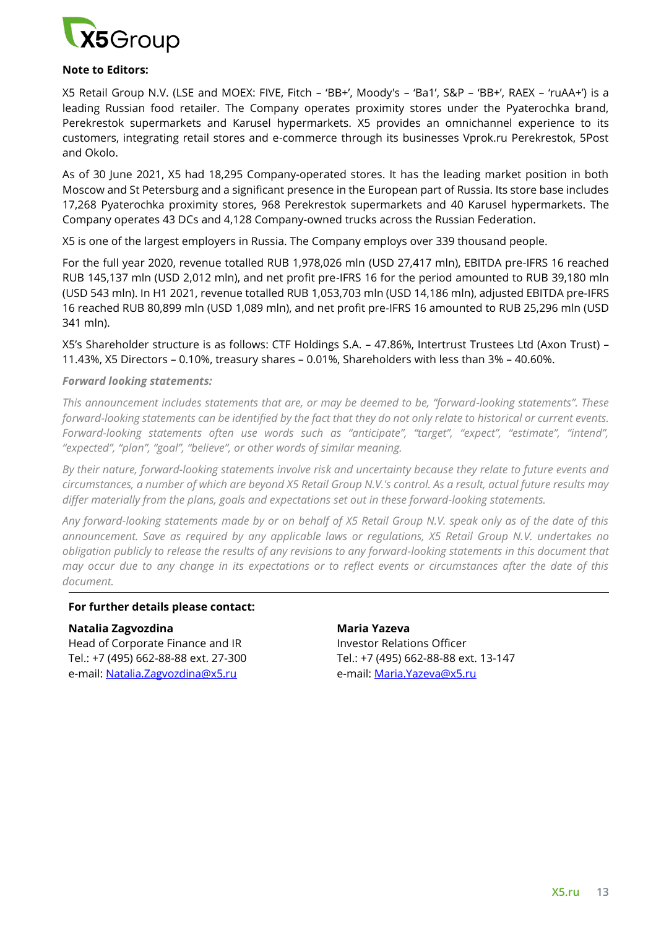

### **Note to Editors:**

X5 Retail Group N.V. (LSE and MOEX: FIVE, Fitch – 'BB+', Moody's – 'Ba1', S&P – 'BB+', RAEX – 'ruAA+') is a leading Russian food retailer. The Company operates proximity stores under the Pyaterochka brand, Perekrestok supermarkets and Karusel hypermarkets. X5 provides an omnichannel experience to its customers, integrating retail stores and e-commerce through its businesses Vprok.ru Perekrestok, 5Post and Okolo.

As of 30 June 2021, X5 had 18,295 Company-operated stores. It has the leading market position in both Moscow and St Petersburg and a significant presence in the European part of Russia. Its store base includes 17,268 Pyaterochka proximity stores, 968 Perekrestok supermarkets and 40 Karusel hypermarkets. The Company operates 43 DCs and 4,128 Company-owned trucks across the Russian Federation.

X5 is one of the largest employers in Russia. The Company employs over 339 thousand people.

For the full year 2020, revenue totalled RUB 1,978,026 mln (USD 27,417 mln), EBITDA pre-IFRS 16 reached RUB 145,137 mln (USD 2,012 mln), and net profit pre-IFRS 16 for the period amounted to RUB 39,180 mln (USD 543 mln). In H1 2021, revenue totalled RUB 1,053,703 mln (USD 14,186 mln), adjusted EBITDA pre-IFRS 16 reached RUB 80,899 mln (USD 1,089 mln), and net profit pre-IFRS 16 amounted to RUB 25,296 mln (USD 341 mln).

X5's Shareholder structure is as follows: CTF Holdings S.A. – 47.86%, Intertrust Trustees Ltd (Axon Trust) – 11.43%, X5 Directors – 0.10%, treasury shares – 0.01%, Shareholders with less than 3% – 40.60%.

### *Forward looking statements:*

*This announcement includes statements that are, or may be deemed to be, "forward-looking statements". These forward-looking statements can be identified by the fact that they do not only relate to historical or current events. Forward-looking statements often use words such as "anticipate", "target", "expect", "estimate", "intend", "expected", "plan", "goal", "believe", or other words of similar meaning.*

*By their nature, forward-looking statements involve risk and uncertainty because they relate to future events and circumstances, a number of which are beyond X5 Retail Group N.V.'s control. As a result, actual future results may differ materially from the plans, goals and expectations set out in these forward-looking statements.* 

*Any forward-looking statements made by or on behalf of X5 Retail Group N.V. speak only as of the date of this announcement. Save as required by any applicable laws or regulations, X5 Retail Group N.V. undertakes no obligation publicly to release the results of any revisions to any forward-looking statements in this document that may occur due to any change in its expectations or to reflect events or circumstances after the date of this document.* 

#### **For further details please contact:**

#### **Natalia Zagvozdina**

Head of Corporate Finance and IR Tel.: +7 (495) 662-88-88 ext. 27-300 e-mail: [Natalia.Zagvozdina@x5.ru](mailto:Natalia.Zagvozdina@x5.ru) 

### **Maria Yazeva**

Investor Relations Officer Tel.: +7 (495) 662-88-88 ext. 13-147 e-mail: [Maria.Yazeva@x5.ru](mailto:Maria.Yazeva@x5.ru)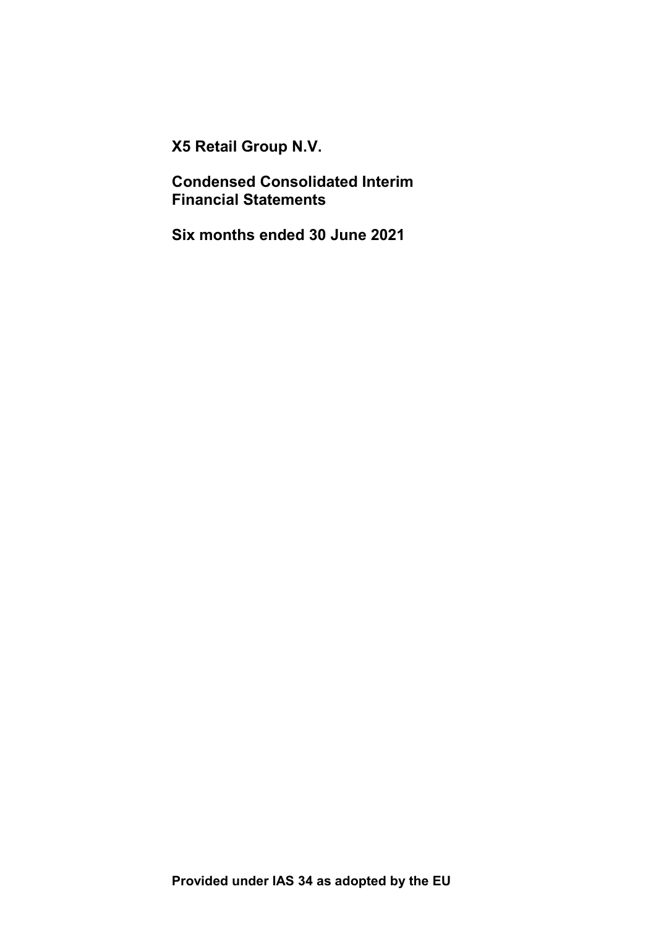X5 Retail Group N.V.

Condensed Consolidated Interim Financial Statements

Six months ended 30 June 2021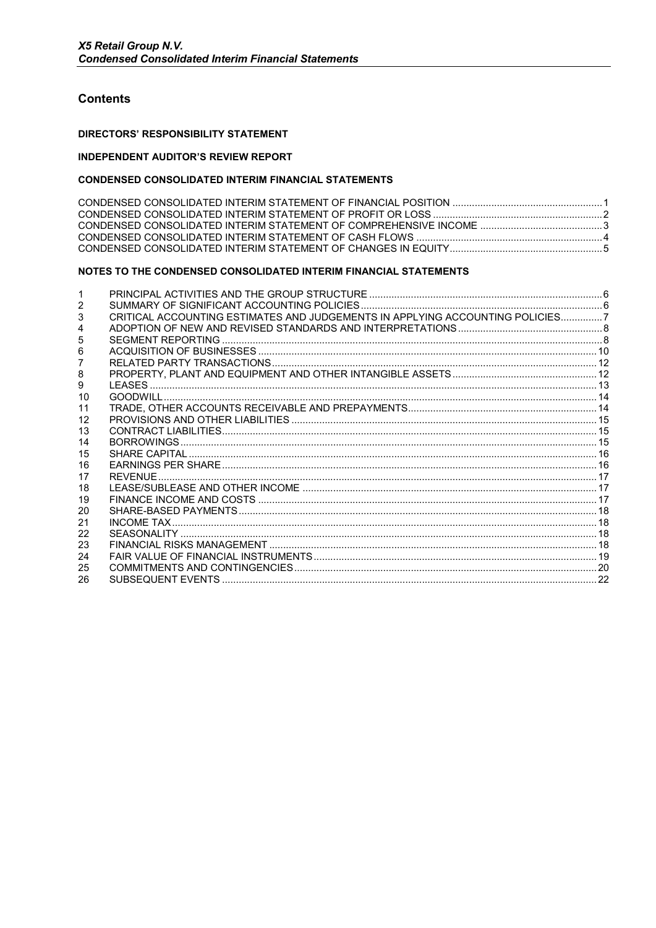### **Contents**

#### **DIRECTORS' RESPONSIBILITY STATEMENT**

#### **INDEPENDENT AUDITOR'S REVIEW REPORT**

### **CONDENSED CONSOLIDATED INTERIM FINANCIAL STATEMENTS**

### NOTES TO THE CONDENSED CONSOLIDATED INTERIM FINANCIAL STATEMENTS

| 2  |                                                                               |  |
|----|-------------------------------------------------------------------------------|--|
| 3  | CRITICAL ACCOUNTING ESTIMATES AND JUDGEMENTS IN APPLYING ACCOUNTING POLICIES7 |  |
| 4  |                                                                               |  |
| 5  |                                                                               |  |
| 6  |                                                                               |  |
|    |                                                                               |  |
| 8  |                                                                               |  |
| 9  |                                                                               |  |
| 10 |                                                                               |  |
| 11 |                                                                               |  |
| 12 |                                                                               |  |
| 13 |                                                                               |  |
| 14 |                                                                               |  |
| 15 |                                                                               |  |
| 16 |                                                                               |  |
| 17 |                                                                               |  |
| 18 |                                                                               |  |
| 19 |                                                                               |  |
| 20 |                                                                               |  |
| 21 |                                                                               |  |
| 22 |                                                                               |  |
| 23 |                                                                               |  |
| 24 |                                                                               |  |
| 25 |                                                                               |  |
| 26 |                                                                               |  |
|    |                                                                               |  |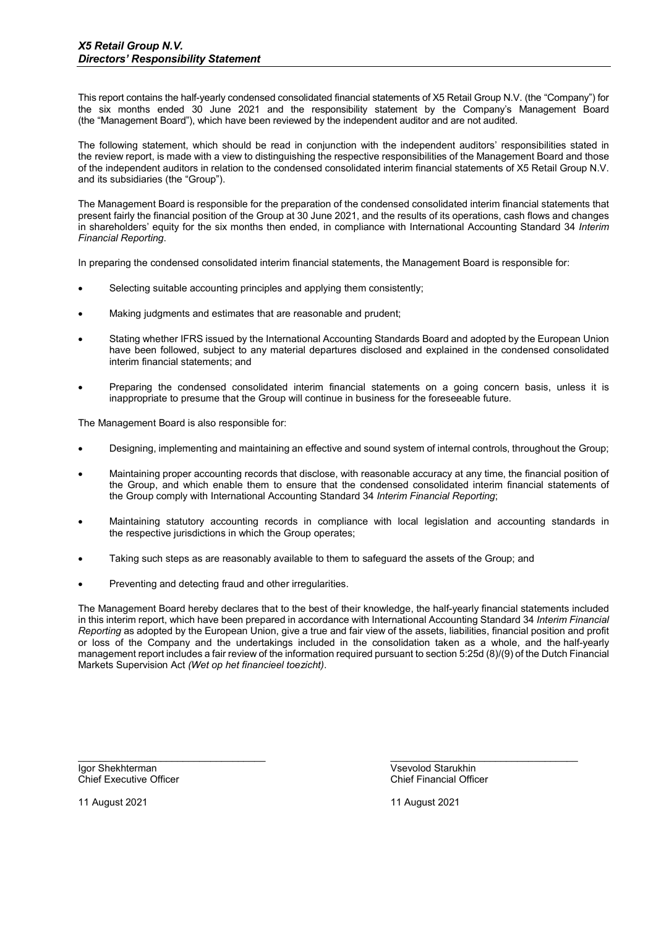This report contains the half-yearly condensed consolidated financial statements of X5 Retail Group N.V. (the "Company") for the six months ended 30 June 2021 and the responsibility statement by the Company's Management Board (the "Management Board"), which have been reviewed by the independent auditor and are not audited.

The following statement, which should be read in conjunction with the independent auditors' responsibilities stated in the review report, is made with a view to distinguishing the respective responsibilities of the Management Board and those of the independent auditors in relation to the condensed consolidated interim financial statements of X5 Retail Group N.V. and its subsidiaries (the "Group").

The Management Board is responsible for the preparation of the condensed consolidated interim financial statements that present fairly the financial position of the Group at 30 June 2021, and the results of its operations, cash flows and changes in shareholders' equity for the six months then ended, in compliance with International Accounting Standard 34 Interim Financial Reporting.

In preparing the condensed consolidated interim financial statements, the Management Board is responsible for:

- Selecting suitable accounting principles and applying them consistently;
- Making judgments and estimates that are reasonable and prudent;
- Stating whether IFRS issued by the International Accounting Standards Board and adopted by the European Union have been followed, subject to any material departures disclosed and explained in the condensed consolidated interim financial statements; and
- Preparing the condensed consolidated interim financial statements on a going concern basis, unless it is inappropriate to presume that the Group will continue in business for the foreseeable future.

The Management Board is also responsible for:

- Designing, implementing and maintaining an effective and sound system of internal controls, throughout the Group;
- Maintaining proper accounting records that disclose, with reasonable accuracy at any time, the financial position of the Group, and which enable them to ensure that the condensed consolidated interim financial statements of the Group comply with International Accounting Standard 34 Interim Financial Reporting;
- Maintaining statutory accounting records in compliance with local legislation and accounting standards in the respective jurisdictions in which the Group operates;
- Taking such steps as are reasonably available to them to safeguard the assets of the Group; and
- Preventing and detecting fraud and other irregularities.

The Management Board hereby declares that to the best of their knowledge, the half-yearly financial statements included in this interim report, which have been prepared in accordance with International Accounting Standard 34 Interim Financial Reporting as adopted by the European Union, give a true and fair view of the assets, liabilities, financial position and profit or loss of the Company and the undertakings included in the consolidation taken as a whole, and the half-yearly management report includes a fair review of the information required pursuant to section 5:25d (8)/(9) of the Dutch Financial Markets Supervision Act (Wet op het financieel toezicht).

\_\_\_\_\_\_\_\_\_\_\_\_\_\_\_\_\_\_\_\_\_\_\_\_\_\_\_\_\_\_\_\_\_\_ \_\_\_\_\_\_\_\_\_\_\_\_\_\_\_\_\_\_\_\_\_\_\_\_\_\_\_\_\_\_\_\_\_\_

Igor Shekhterman Vsevolod Starukhin Chief Executive Officer

11 August 2021 11 August 2021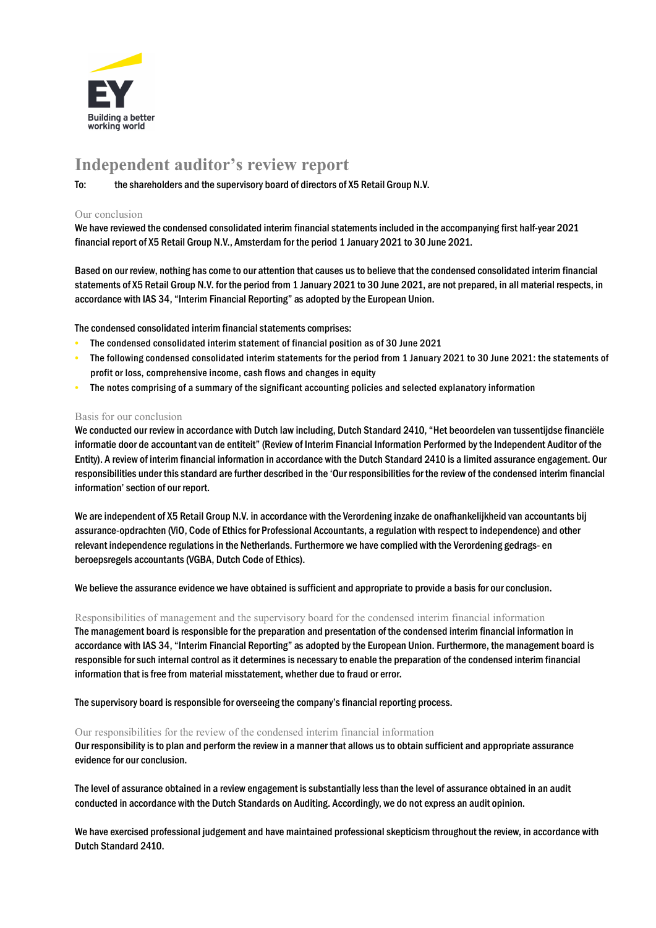

# Independent auditor's review report

To: the shareholders and the supervisory board of directors of X5 Retail Group N.V.

#### Our conclusion

We have reviewed the condensed consolidated interim financial statements included in the accompanying first half-year 2021 financial report of X5 Retail Group N.V., Amsterdam for the period 1 January 2021 to 30 June 2021.

Based on our review, nothing has come to our attention that causes us to believe that the condensed consolidated interim financial statements of X5 Retail Group N.V. for the period from 1 January 2021 to 30 June 2021, are not prepared, in all material respects, in accordance with IAS 34, "Interim Financial Reporting" as adopted by the European Union.

The condensed consolidated interim financial statements comprises:

- The condensed consolidated interim statement of financial position as of 30 June 2021
- The following condensed consolidated interim statements for the period from 1 January 2021 to 30 June 2021: the statements of profit or loss, comprehensive income, cash flows and changes in equity
- The notes comprising of a summary of the significant accounting policies and selected explanatory information

#### Basis for our conclusion

We conducted our review in accordance with Dutch law including, Dutch Standard 2410, "Het beoordelen van tussentijdse financiële informatie door de accountant van de entiteit" (Review of Interim Financial Information Performed by the Independent Auditor of the Entity). A review of interim financial information in accordance with the Dutch Standard 2410 is a limited assurance engagement. Our responsibilities under this standard are further described in the 'Our responsibilities for the review of the condensed interim financial information' section of our report.

We are independent of X5 Retail Group N.V. in accordance with the Verordening inzake de onafhankelijkheid van accountants bij assurance-opdrachten (ViO, Code of Ethics for Professional Accountants, a regulation with respect to independence) and other relevant independence regulations in the Netherlands. Furthermore we have complied with the Verordening gedrags- en beroepsregels accountants (VGBA, Dutch Code of Ethics).

We believe the assurance evidence we have obtained is sufficient and appropriate to provide a basis for our conclusion.

#### Responsibilities of management and the supervisory board for the condensed interim financial information

The management board is responsible for the preparation and presentation of the condensed interim financial information in accordance with IAS 34, "Interim Financial Reporting" as adopted by the European Union. Furthermore, the management board is responsible for such internal control as it determines is necessary to enable the preparation of the condensed interim financial information that is free from material misstatement, whether due to fraud or error.

The supervisory board is responsible for overseeing the company's financial reporting process.

#### Our responsibilities for the review of the condensed interim financial information

Our responsibility is to plan and perform the review in a manner that allows us to obtain sufficient and appropriate assurance evidence for our conclusion.

The level of assurance obtained in a review engagement is substantially less than the level of assurance obtained in an audit conducted in accordance with the Dutch Standards on Auditing. Accordingly, we do not express an audit opinion.

We have exercised professional judgement and have maintained professional skepticism throughout the review, in accordance with Dutch Standard 2410.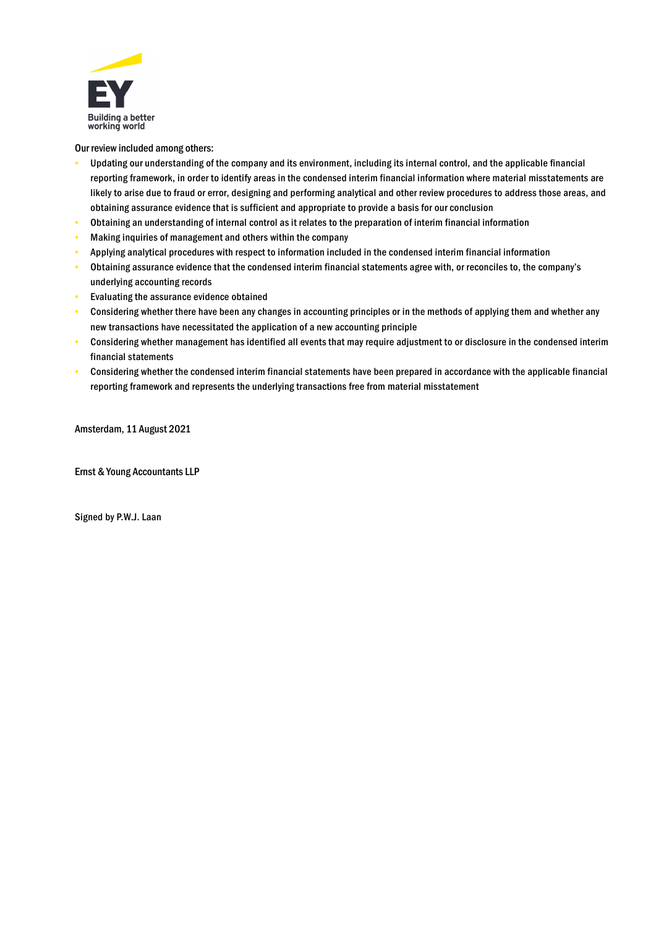

Our review included among others:

- Updating our understanding of the company and its environment, including its internal control, and the applicable financial reporting framework, in order to identify areas in the condensed interim financial information where material misstatements are likely to arise due to fraud or error, designing and performing analytical and other review procedures to address those areas, and obtaining assurance evidence that is sufficient and appropriate to provide a basis for our conclusion
- Obtaining an understanding of internal control as it relates to the preparation of interim financial information
- Making inquiries of management and others within the company
- Applying analytical procedures with respect to information included in the condensed interim financial information
- Obtaining assurance evidence that the condensed interim financial statements agree with, or reconciles to, the company's underlying accounting records
- Evaluating the assurance evidence obtained
- Considering whether there have been any changes in accounting principles or in the methods of applying them and whether any new transactions have necessitated the application of a new accounting principle
- Considering whether management has identified all events that may require adjustment to or disclosure in the condensed interim financial statements
- Considering whether the condensed interim financial statements have been prepared in accordance with the applicable financial reporting framework and represents the underlying transactions free from material misstatement

Amsterdam, 11 August 2021

Ernst & Young Accountants LLP

Signed by P.W.J. Laan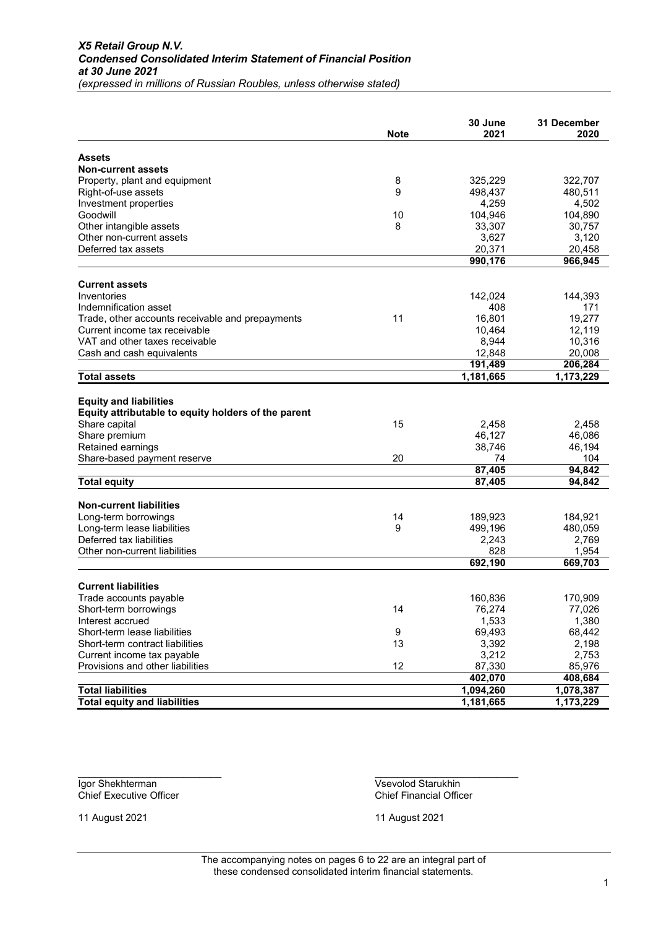|                                                                                                                                                                                                   | <b>Note</b> | 30 June<br>2021                                     | <b>31 December</b><br>2020                           |
|---------------------------------------------------------------------------------------------------------------------------------------------------------------------------------------------------|-------------|-----------------------------------------------------|------------------------------------------------------|
| <b>Assets</b>                                                                                                                                                                                     |             |                                                     |                                                      |
| <b>Non-current assets</b>                                                                                                                                                                         |             |                                                     |                                                      |
| Property, plant and equipment                                                                                                                                                                     | 8           | 325,229                                             | 322,707                                              |
| Right-of-use assets                                                                                                                                                                               | 9           | 498,437                                             | 480,511                                              |
| Investment properties                                                                                                                                                                             |             | 4,259                                               | 4,502                                                |
| Goodwill                                                                                                                                                                                          | 10          | 104,946                                             | 104,890                                              |
| Other intangible assets                                                                                                                                                                           | 8           | 33,307                                              | 30,757                                               |
| Other non-current assets                                                                                                                                                                          |             | 3,627                                               | 3,120                                                |
| Deferred tax assets                                                                                                                                                                               |             | 20,371                                              | 20,458                                               |
|                                                                                                                                                                                                   |             | 990,176                                             | 966,945                                              |
| <b>Current assets</b>                                                                                                                                                                             |             |                                                     |                                                      |
| Inventories                                                                                                                                                                                       |             | 142,024                                             | 144,393                                              |
| Indemnification asset                                                                                                                                                                             |             | 408                                                 | 171                                                  |
| Trade, other accounts receivable and prepayments                                                                                                                                                  | 11          | 16,801                                              | 19,277                                               |
| Current income tax receivable                                                                                                                                                                     |             | 10,464                                              | 12,119                                               |
| VAT and other taxes receivable                                                                                                                                                                    |             | 8,944                                               | 10,316                                               |
| Cash and cash equivalents                                                                                                                                                                         |             | 12,848                                              | 20,008                                               |
|                                                                                                                                                                                                   |             | 191,489                                             | 206,284                                              |
| <b>Total assets</b>                                                                                                                                                                               |             | 1,181,665                                           | 1,173,229                                            |
| <b>Equity and liabilities</b><br>Equity attributable to equity holders of the parent<br>Share capital<br>Share premium<br>Retained earnings<br>Share-based payment reserve<br><b>Total equity</b> | 15<br>20    | 2,458<br>46,127<br>38,746<br>74<br>87,405<br>87,405 | 2,458<br>46,086<br>46,194<br>104<br>94,842<br>94,842 |
| <b>Non-current liabilities</b>                                                                                                                                                                    |             |                                                     |                                                      |
| Long-term borrowings                                                                                                                                                                              | 14          | 189,923                                             | 184,921                                              |
| Long-term lease liabilities                                                                                                                                                                       | 9           | 499,196                                             | 480,059                                              |
| Deferred tax liabilities                                                                                                                                                                          |             | 2,243                                               | 2,769                                                |
| Other non-current liabilities                                                                                                                                                                     |             | 828                                                 | 1,954                                                |
|                                                                                                                                                                                                   |             | 692,190                                             | 669,703                                              |
| <b>Current liabilities</b>                                                                                                                                                                        |             |                                                     |                                                      |
| Trade accounts payable                                                                                                                                                                            |             | 160,836                                             | 170,909                                              |
| Short-term borrowings                                                                                                                                                                             | 14          | 76,274                                              | 77,026                                               |
| Interest accrued                                                                                                                                                                                  |             | 1,533                                               | 1,380                                                |
| Short-term lease liabilities                                                                                                                                                                      | 9           | 69,493                                              | 68,442                                               |
| Short-term contract liabilities                                                                                                                                                                   | 13          | 3,392                                               | 2,198                                                |
| Current income tax payable                                                                                                                                                                        |             | 3,212                                               | 2,753                                                |
| Provisions and other liabilities                                                                                                                                                                  | 12          | 87,330                                              | 85,976                                               |
|                                                                                                                                                                                                   |             | 402,070                                             | 408,684                                              |
| <b>Total liabilities</b>                                                                                                                                                                          |             | 1,094,260                                           | 1,078,387                                            |
| <b>Total equity and liabilities</b>                                                                                                                                                               |             | 1,181,665                                           | 1,173,229                                            |

Chief Executive Officer

\_\_\_\_\_\_\_\_\_\_\_\_\_\_\_\_\_\_\_\_\_\_\_\_\_\_ \_\_\_\_\_\_\_\_\_\_\_\_\_\_\_\_\_\_\_\_\_\_\_\_\_\_ Igor Shekhterman Vsevolod Starukhin<br>
Chief Executive Officer Chief Financial Officer

11 August 2021 11 August 2021

The accompanying notes on pages 6 to 22 are an integral part of these condensed consolidated interim financial statements.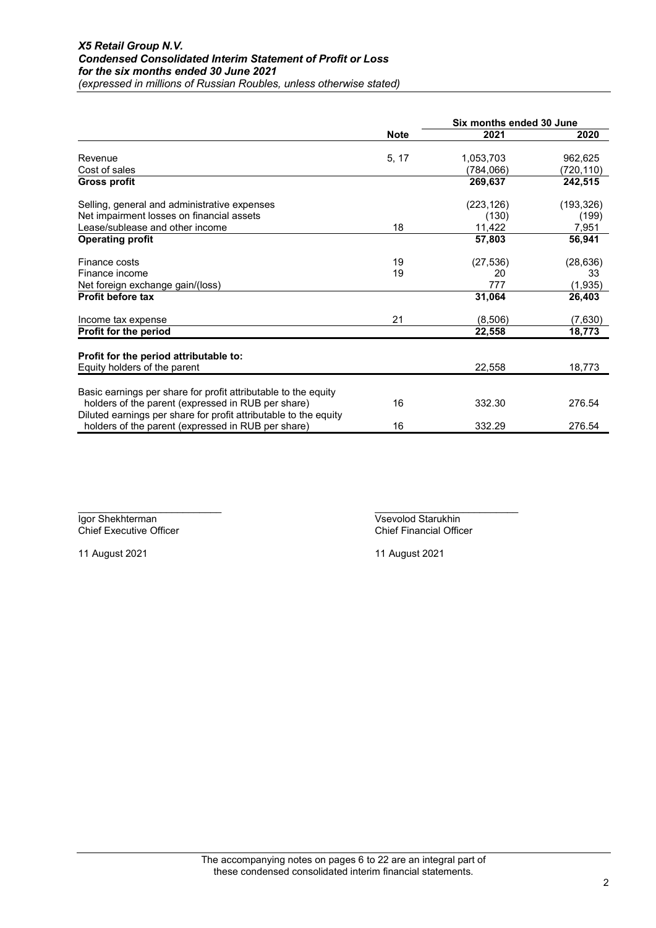|                                                                                                                        |             |            | Six months ended 30 June |  |
|------------------------------------------------------------------------------------------------------------------------|-------------|------------|--------------------------|--|
|                                                                                                                        | <b>Note</b> | 2021       | 2020                     |  |
| Revenue                                                                                                                | 5, 17       | 1,053,703  | 962,625                  |  |
| Cost of sales                                                                                                          |             | (784,066)  | (720,110)                |  |
| Gross profit                                                                                                           |             | 269,637    | 242,515                  |  |
| Selling, general and administrative expenses                                                                           |             | (223, 126) | (193, 326)               |  |
| Net impairment losses on financial assets                                                                              |             | (130)      | (199)                    |  |
| Lease/sublease and other income                                                                                        | 18          | 11,422     | 7,951                    |  |
| <b>Operating profit</b>                                                                                                |             | 57,803     | 56,941                   |  |
| Finance costs                                                                                                          | 19          | (27, 536)  | (28, 636)                |  |
| Finance income                                                                                                         | 19          | 20         | 33                       |  |
| Net foreign exchange gain/(loss)                                                                                       |             | 777        | (1,935)                  |  |
| <b>Profit before tax</b>                                                                                               |             | 31,064     | 26,403                   |  |
| Income tax expense                                                                                                     | 21          | (8,506)    | (7,630)                  |  |
| <b>Profit for the period</b>                                                                                           |             | 22,558     | 18,773                   |  |
| Profit for the period attributable to:                                                                                 |             |            |                          |  |
| Equity holders of the parent                                                                                           |             | 22,558     | 18,773                   |  |
| Basic earnings per share for profit attributable to the equity                                                         |             |            |                          |  |
| holders of the parent (expressed in RUB per share)                                                                     | 16          | 332.30     | 276.54                   |  |
| Diluted earnings per share for profit attributable to the equity<br>holders of the parent (expressed in RUB per share) | 16          | 332.29     | 276.54                   |  |

\_\_\_\_\_\_\_\_\_\_\_\_\_\_\_\_\_\_\_\_\_\_\_\_\_\_ \_\_\_\_\_\_\_\_\_\_\_\_\_\_\_\_\_\_\_\_\_\_\_\_\_\_

Igor Shekhterman Vsevolod Starukhin Chief Executive Officer Chief Financial Officer

11 August 2021 11 August 2021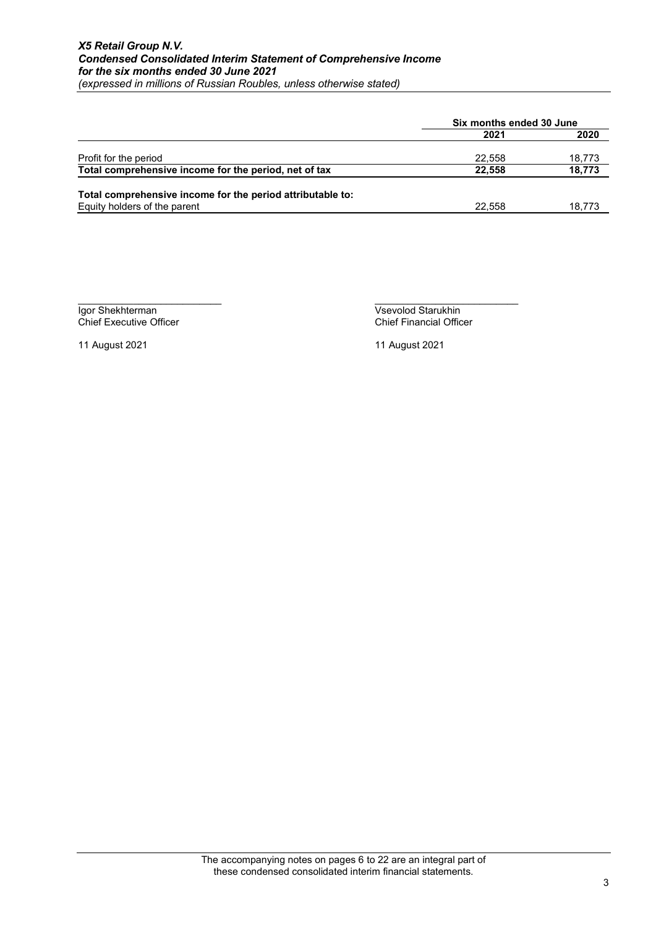|                                                            | Six months ended 30 June |        |
|------------------------------------------------------------|--------------------------|--------|
|                                                            | 2021                     | 2020   |
| Profit for the period                                      | 22.558                   | 18,773 |
| Total comprehensive income for the period, net of tax      | 22.558                   | 18,773 |
| Total comprehensive income for the period attributable to: |                          |        |
| Equity holders of the parent                               | 22.558                   | 18,773 |

Chief Executive Officer

\_\_\_\_\_\_\_\_\_\_\_\_\_\_\_\_\_\_\_\_\_\_\_\_\_\_ \_\_\_\_\_\_\_\_\_\_\_\_\_\_\_\_\_\_\_\_\_\_\_\_\_\_ **Igor Shekhterman** Vsevolod Starukhin<br>
Chief Executive Officer<br>
Chief Financial Officer

11 August 2021 11 August 2021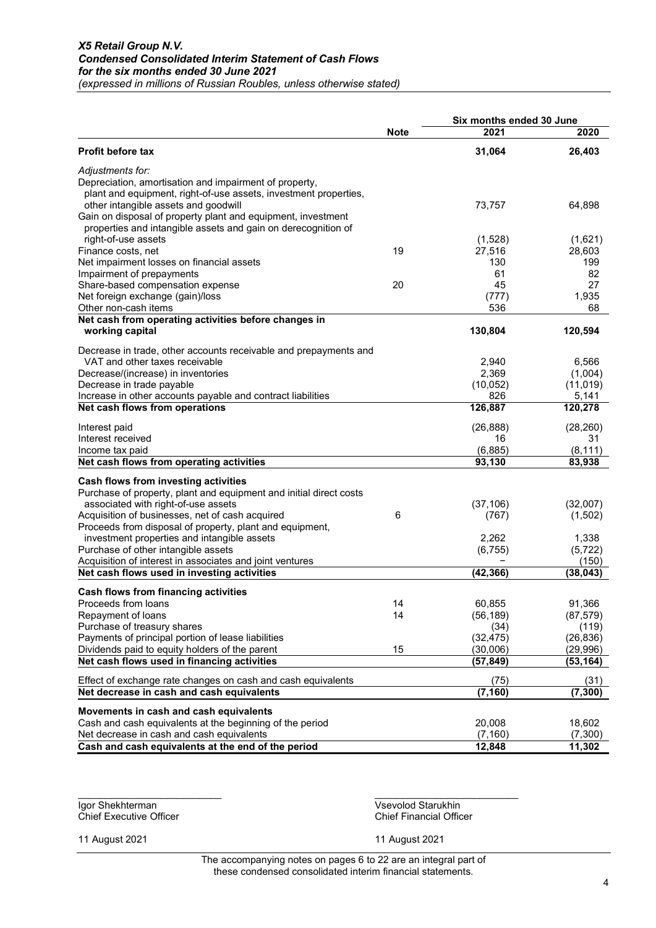|                                                                    |             | Six months ended 30 June |           |  |
|--------------------------------------------------------------------|-------------|--------------------------|-----------|--|
|                                                                    | <b>Note</b> | 2021                     | 2020      |  |
| Profit before tax                                                  |             | 31,064                   | 26,403    |  |
| Adjustments for:                                                   |             |                          |           |  |
| Depreciation, amortisation and impairment of property,             |             |                          |           |  |
| plant and equipment, right-of-use assets, investment properties,   |             |                          |           |  |
| other intangible assets and goodwill                               |             | 73,757                   | 64,898    |  |
| Gain on disposal of property plant and equipment, investment       |             |                          |           |  |
| properties and intangible assets and gain on derecognition of      |             |                          |           |  |
| right-of-use assets                                                |             | (1,528)                  | (1,621)   |  |
| Finance costs, net                                                 | 19          | 27,516                   | 28,603    |  |
| Net impairment losses on financial assets                          |             | 130                      | 199       |  |
| Impairment of prepayments                                          |             | 61                       | 82        |  |
| Share-based compensation expense                                   | 20          | 45                       | 27        |  |
| Net foreign exchange (gain)/loss                                   |             | (777)                    | 1,935     |  |
| Other non-cash items                                               |             | 536                      | 68        |  |
| Net cash from operating activities before changes in               |             |                          |           |  |
| working capital                                                    |             | 130,804                  | 120,594   |  |
| Decrease in trade, other accounts receivable and prepayments and   |             |                          |           |  |
| VAT and other taxes receivable                                     |             | 2,940                    | 6,566     |  |
| Decrease/(increase) in inventories                                 |             | 2,369                    | (1,004)   |  |
| Decrease in trade payable                                          |             | (10, 052)                | (11, 019) |  |
| Increase in other accounts payable and contract liabilities        |             | 826                      | 5,141     |  |
| Net cash flows from operations                                     |             | 126,887                  | 120,278   |  |
| Interest paid                                                      |             | (26, 888)                | (28, 260) |  |
| Interest received                                                  |             | 16                       | 31        |  |
| Income tax paid                                                    |             | (6,885)                  | (8, 111)  |  |
| Net cash flows from operating activities                           |             | 93,130                   | 83,938    |  |
| Cash flows from investing activities                               |             |                          |           |  |
| Purchase of property, plant and equipment and initial direct costs |             |                          |           |  |
| associated with right-of-use assets                                |             | (37, 106)                | (32,007)  |  |
| Acquisition of businesses, net of cash acquired                    | 6           | (767)                    | (1,502)   |  |
| Proceeds from disposal of property, plant and equipment,           |             |                          |           |  |
| investment properties and intangible assets                        |             | 2,262                    | 1,338     |  |
| Purchase of other intangible assets                                |             | (6, 755)                 | (5, 722)  |  |
| Acquisition of interest in associates and joint ventures           |             |                          | (150)     |  |
| Net cash flows used in investing activities                        |             | (42, 366)                | (38,043)  |  |
| Cash flows from financing activities                               |             |                          |           |  |
| Proceeds from loans                                                | 14          | 60,855                   | 91,366    |  |
| Repayment of loans                                                 | 14          | (56, 189)                | (87, 579) |  |
| Purchase of treasury shares                                        |             | (34)                     | (119)     |  |
| Payments of principal portion of lease liabilities                 |             | (32, 475)                | (26, 836) |  |
| Dividends paid to equity holders of the parent                     | 15          | (30,006)                 | (29, 996) |  |
| Net cash flows used in financing activities                        |             | (57, 849)                | (53, 164) |  |
| Effect of exchange rate changes on cash and cash equivalents       |             | (75)                     | (31)      |  |
| Net decrease in cash and cash equivalents                          |             | (7, 160)                 | (7, 300)  |  |
|                                                                    |             |                          |           |  |
| Movements in cash and cash equivalents                             |             |                          |           |  |
| Cash and cash equivalents at the beginning of the period           |             | 20,008                   | 18,602    |  |
| Net decrease in cash and cash equivalents                          |             | (7, 160)                 | (7,300)   |  |
| Cash and cash equivalents at the end of the period                 |             | 12,848                   | 11,302    |  |

Chief Executive Officer

\_\_\_\_\_\_\_\_\_\_\_\_\_\_\_\_\_\_\_\_\_\_\_\_\_\_ \_\_\_\_\_\_\_\_\_\_\_\_\_\_\_\_\_\_\_\_\_\_\_\_\_\_ **Igor Shekhterman** Vsevolod Starukhin<br>
Chief Executive Officer<br>
Chief Financial Officer

11 August 2021 11 August 2021

The accompanying notes on pages 6 to 22 are an integral part of these condensed consolidated interim financial statements.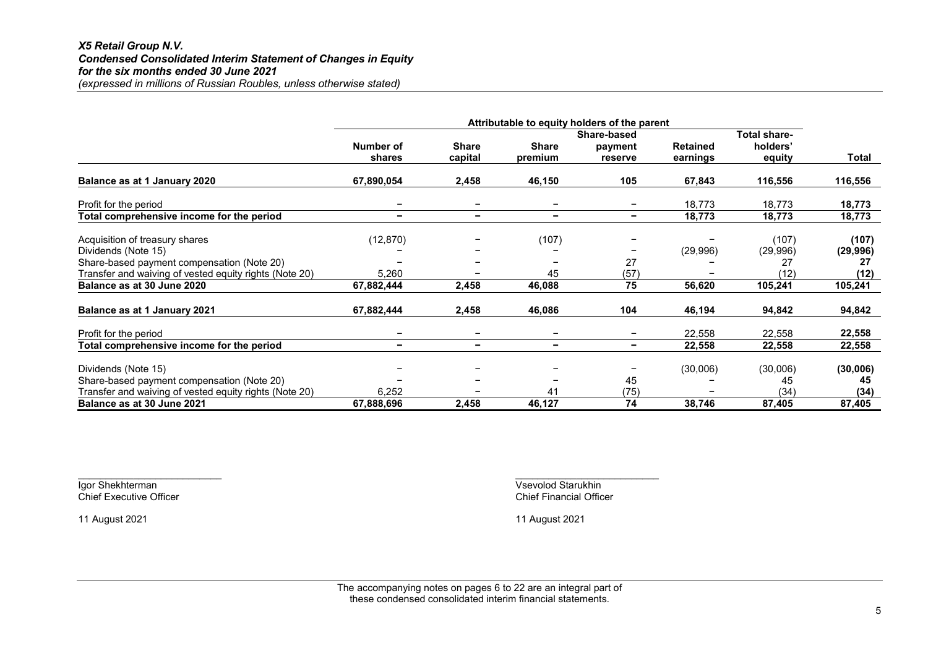### X5 Retail Group N.V. Condensed Consolidated Interim Statement of Changes in Equity for the six months ended 30 June 2021 (expressed in millions of Russian Roubles, unless otherwise stated)

|                                                        |                              |                          |                          | Attributable to equity holders of the parent |                 |              |           |
|--------------------------------------------------------|------------------------------|--------------------------|--------------------------|----------------------------------------------|-----------------|--------------|-----------|
|                                                        |                              |                          |                          | Share-based                                  |                 | Total share- |           |
|                                                        | Number of                    | <b>Share</b>             | <b>Share</b>             | payment                                      | <b>Retained</b> | holders'     |           |
|                                                        | shares                       | capital                  | premium                  | reserve                                      | earnings        | equity       | Total     |
| Balance as at 1 January 2020                           | 67,890,054                   | 2,458                    | 46,150                   | 105                                          | 67,843          | 116,556      | 116,556   |
| Profit for the period                                  |                              |                          | $\overline{\phantom{0}}$ |                                              | 18,773          | 18,773       | 18,773    |
| Total comprehensive income for the period              | $\overline{\phantom{a}}$     | $\overline{\phantom{a}}$ | $\overline{\phantom{a}}$ | $\overline{\phantom{0}}$                     | 18,773          | 18,773       | 18,773    |
| Acquisition of treasury shares                         | (12, 870)                    |                          | (107)                    |                                              |                 | (107)        | (107)     |
| Dividends (Note 15)                                    |                              |                          |                          |                                              | (29,996)        | (29,996)     | (29, 996) |
| Share-based payment compensation (Note 20)             |                              |                          |                          | 27                                           |                 | 27           | 27        |
| Transfer and waiving of vested equity rights (Note 20) | 5,260                        |                          | 45                       | (57)                                         |                 | (12)         | (12)      |
| Balance as at 30 June 2020                             | 67,882,444                   | 2,458                    | 46,088                   | 75                                           | 56,620          | 105,241      | 105,241   |
| Balance as at 1 January 2021                           | 67,882,444                   | 2,458                    | 46,086                   | 104                                          | 46,194          | 94,842       | 94,842    |
| Profit for the period                                  | $\qquad \qquad \blacksquare$ | $\overline{\phantom{m}}$ | $\overline{\phantom{m}}$ | -                                            | 22,558          | 22,558       | 22,558    |
| Total comprehensive income for the period              | $\overline{\phantom{a}}$     | $\blacksquare$           | $\overline{\phantom{a}}$ | $\overline{\phantom{0}}$                     | 22,558          | 22,558       | 22,558    |
| Dividends (Note 15)                                    |                              |                          |                          |                                              | (30,006)        | (30,006)     | (30,006)  |
| Share-based payment compensation (Note 20)             |                              |                          |                          | 45                                           |                 | 45           | 45        |
| Transfer and waiving of vested equity rights (Note 20) | 6,252                        |                          | 41                       | (75)                                         |                 | (34)         | (34)      |
| Balance as at 30 June 2021                             | 67,888,696                   | 2,458                    | 46,127                   | 74                                           | 38,746          | 87,405       | 87,405    |

Chief Executive Officer

 $\overline{\phantom{a}}$  , and the contract of the contract of the contract of the contract of the contract of the contract of the contract of the contract of the contract of the contract of the contract of the contract of the contrac Igor Shekhterman Vsevolod Starukhin<br>
Chief Executive Officer Chief Financial Officer

11 August 2021 11 August 2021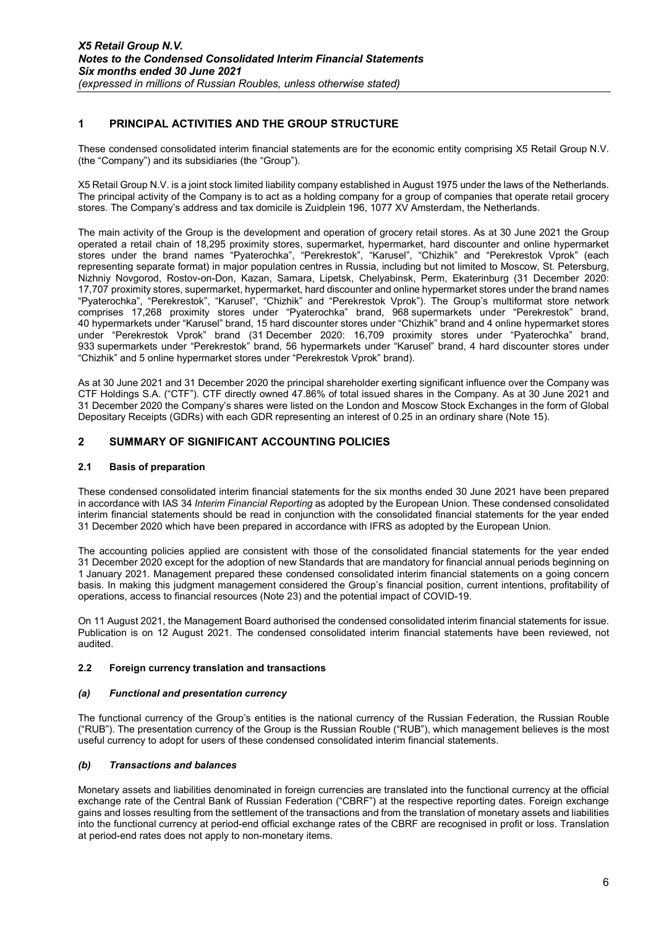### 1 PRINCIPAL ACTIVITIES AND THE GROUP STRUCTURE

These condensed consolidated interim financial statements are for the economic entity comprising X5 Retail Group N.V. (the "Company") and its subsidiaries (the "Group").

X5 Retail Group N.V. is a joint stock limited liability company established in August 1975 under the laws of the Netherlands. The principal activity of the Company is to act as a holding company for a group of companies that operate retail grocery stores. The Company's address and tax domicile is Zuidplein 196, 1077 XV Amsterdam, the Netherlands.

The main activity of the Group is the development and operation of grocery retail stores. As at 30 June 2021 the Group operated a retail chain of 18,295 proximity stores, supermarket, hypermarket, hard discounter and online hypermarket stores under the brand names "Pyaterochka", "Perekrestok", "Karusel", "Chizhik" and "Perekrestok Vprok" (each representing separate format) in major population centres in Russia, including but not limited to Moscow, St. Petersburg, Nizhniy Novgorod, Rostov-on-Don, Kazan, Samara, Lipetsk, Chelyabinsk, Perm, Ekaterinburg (31 December 2020: 17,707 proximity stores, supermarket, hypermarket, hard discounter and online hypermarket stores under the brand names "Pyaterochka", "Perekrestok", "Karusel", "Chizhik" and "Perekrestok Vprok"). The Group's multiformat store network comprises 17,268 proximity stores under "Pyaterochka" brand, 968 supermarkets under "Perekrestok" brand, 40 hypermarkets under "Karusel" brand, 15 hard discounter stores under "Chizhik" brand and 4 online hypermarket stores under "Perekrestok Vprok" brand (31 December 2020: 16,709 proximity stores under "Pyaterochka" brand, 933 supermarkets under "Perekrestok" brand, 56 hypermarkets under "Karusel" brand, 4 hard discounter stores under "Chizhik" and 5 online hypermarket stores under "Perekrestok Vprok" brand).

As at 30 June 2021 and 31 December 2020 the principal shareholder exerting significant influence over the Company was CTF Holdings S.A. ("CTF"). CTF directly owned 47.86% of total issued shares in the Company. As at 30 June 2021 and 31 December 2020 the Company's shares were listed on the London and Moscow Stock Exchanges in the form of Global Depositary Receipts (GDRs) with each GDR representing an interest of 0.25 in an ordinary share (Note 15).

### 2 SUMMARY OF SIGNIFICANT ACCOUNTING POLICIES

#### 2.1 Basis of preparation

These condensed consolidated interim financial statements for the six months ended 30 June 2021 have been prepared in accordance with IAS 34 Interim Financial Reporting as adopted by the European Union. These condensed consolidated interim financial statements should be read in conjunction with the consolidated financial statements for the year ended 31 December 2020 which have been prepared in accordance with IFRS as adopted by the European Union.

The accounting policies applied are consistent with those of the consolidated financial statements for the year ended 31 December 2020 except for the adoption of new Standards that are mandatory for financial annual periods beginning on 1 January 2021. Management prepared these condensed consolidated interim financial statements on a going concern basis. In making this judgment management considered the Group's financial position, current intentions, profitability of operations, access to financial resources (Note 23) and the potential impact of COVID-19.

On 11 August 2021, the Management Board authorised the condensed consolidated interim financial statements for issue. Publication is on 12 August 2021. The condensed consolidated interim financial statements have been reviewed, not audited.

#### 2.2 Foreign currency translation and transactions

#### (a) Functional and presentation currency

The functional currency of the Group's entities is the national currency of the Russian Federation, the Russian Rouble ("RUB"). The presentation currency of the Group is the Russian Rouble ("RUB"), which management believes is the most useful currency to adopt for users of these condensed consolidated interim financial statements.

#### (b) Transactions and balances

Monetary assets and liabilities denominated in foreign currencies are translated into the functional currency at the official exchange rate of the Central Bank of Russian Federation ("CBRF") at the respective reporting dates. Foreign exchange gains and losses resulting from the settlement of the transactions and from the translation of monetary assets and liabilities into the functional currency at period-end official exchange rates of the CBRF are recognised in profit or loss. Translation at period-end rates does not apply to non-monetary items.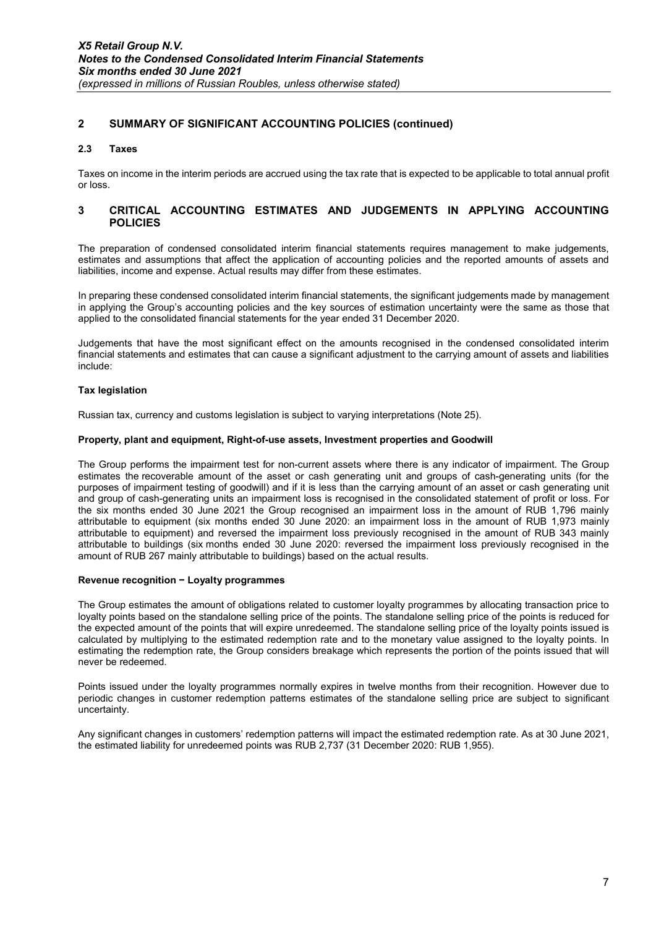### 2 SUMMARY OF SIGNIFICANT ACCOUNTING POLICIES (continued)

#### 2.3 Taxes

Taxes on income in the interim periods are accrued using the tax rate that is expected to be applicable to total annual profit or loss.

#### 3 CRITICAL ACCOUNTING ESTIMATES AND JUDGEMENTS IN APPLYING ACCOUNTING **POLICIES**

The preparation of condensed consolidated interim financial statements requires management to make judgements, estimates and assumptions that affect the application of accounting policies and the reported amounts of assets and liabilities, income and expense. Actual results may differ from these estimates.

In preparing these condensed consolidated interim financial statements, the significant judgements made by management in applying the Group's accounting policies and the key sources of estimation uncertainty were the same as those that applied to the consolidated financial statements for the year ended 31 December 2020.

Judgements that have the most significant effect on the amounts recognised in the condensed consolidated interim financial statements and estimates that can cause a significant adjustment to the carrying amount of assets and liabilities include:

#### Tax legislation

Russian tax, currency and customs legislation is subject to varying interpretations (Note 25).

#### Property, plant and equipment, Right-of-use assets, Investment properties and Goodwill

The Group performs the impairment test for non-current assets where there is any indicator of impairment. The Group estimates the recoverable amount of the asset or cash generating unit and groups of cash-generating units (for the purposes of impairment testing of goodwill) and if it is less than the carrying amount of an asset or cash generating unit and group of cash-generating units an impairment loss is recognised in the consolidated statement of profit or loss. For the six months ended 30 June 2021 the Group recognised an impairment loss in the amount of RUB 1,796 mainly attributable to equipment (six months ended 30 June 2020: an impairment loss in the amount of RUB 1,973 mainly attributable to equipment) and reversed the impairment loss previously recognised in the amount of RUB 343 mainly attributable to buildings (six months ended 30 June 2020: reversed the impairment loss previously recognised in the amount of RUB 267 mainly attributable to buildings) based on the actual results.

#### Revenue recognition − Loyalty programmes

The Group estimates the amount of obligations related to customer loyalty programmes by allocating transaction price to loyalty points based on the standalone selling price of the points. The standalone selling price of the points is reduced for the expected amount of the points that will expire unredeemed. The standalone selling price of the loyalty points issued is calculated by multiplying to the estimated redemption rate and to the monetary value assigned to the loyalty points. In estimating the redemption rate, the Group considers breakage which represents the portion of the points issued that will never be redeemed.

Points issued under the loyalty programmes normally expires in twelve months from their recognition. However due to periodic changes in customer redemption patterns estimates of the standalone selling price are subject to significant uncertainty.

Any significant changes in customers' redemption patterns will impact the estimated redemption rate. As at 30 June 2021, the estimated liability for unredeemed points was RUB 2,737 (31 December 2020: RUB 1,955).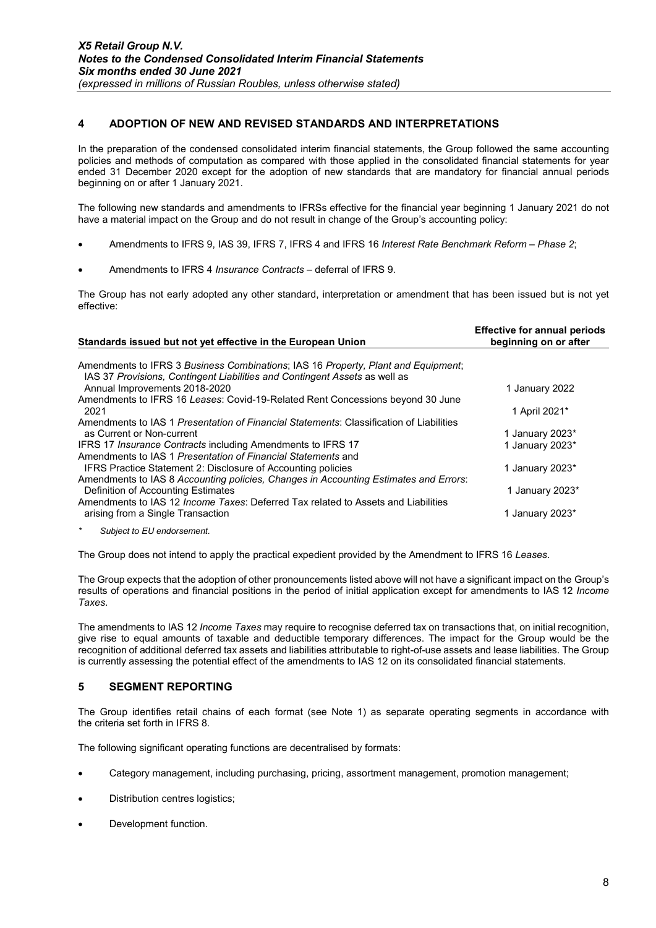### 4 ADOPTION OF NEW AND REVISED STANDARDS AND INTERPRETATIONS

In the preparation of the condensed consolidated interim financial statements, the Group followed the same accounting policies and methods of computation as compared with those applied in the consolidated financial statements for year ended 31 December 2020 except for the adoption of new standards that are mandatory for financial annual periods beginning on or after 1 January 2021.

The following new standards and amendments to IFRSs effective for the financial year beginning 1 January 2021 do not have a material impact on the Group and do not result in change of the Group's accounting policy:

- Amendments to IFRS 9, IAS 39, IFRS 7, IFRS 4 and IFRS 16 Interest Rate Benchmark Reform Phase 2;
- Amendments to IFRS 4 Insurance Contracts deferral of IFRS 9.

The Group has not early adopted any other standard, interpretation or amendment that has been issued but is not yet effective:

| Standards issued but not yet effective in the European Union                                                                                                    | ENCOUVE TOT GINTUGH DONOGS<br>beginning on or after |
|-----------------------------------------------------------------------------------------------------------------------------------------------------------------|-----------------------------------------------------|
|                                                                                                                                                                 |                                                     |
| Amendments to IFRS 3 Business Combinations; IAS 16 Property, Plant and Equipment;<br>IAS 37 Provisions, Contingent Liabilities and Contingent Assets as well as |                                                     |
| Annual Improvements 2018-2020                                                                                                                                   | 1 January 2022                                      |
| Amendments to IFRS 16 Leases: Covid-19-Related Rent Concessions beyond 30 June                                                                                  |                                                     |
| 2021                                                                                                                                                            | 1 April 2021*                                       |
| Amendments to IAS 1 Presentation of Financial Statements: Classification of Liabilities                                                                         |                                                     |
| as Current or Non-current                                                                                                                                       | 1 January 2023*                                     |
| IFRS 17 <i>Insurance Contracts</i> including Amendments to IFRS 17                                                                                              | 1 January 2023*                                     |
| Amendments to IAS 1 Presentation of Financial Statements and                                                                                                    |                                                     |
| IFRS Practice Statement 2: Disclosure of Accounting policies                                                                                                    | 1 January 2023*                                     |
| Amendments to IAS 8 Accounting policies, Changes in Accounting Estimates and Errors:                                                                            |                                                     |
| Definition of Accounting Estimates                                                                                                                              | 1 January 2023*                                     |
| Amendments to IAS 12 <i>Income Taxes</i> : Deferred Tax related to Assets and Liabilities                                                                       |                                                     |
| arising from a Single Transaction                                                                                                                               | 1 January 2023*                                     |
| $\star$<br>Subject to EU endorsement.                                                                                                                           |                                                     |

The Group does not intend to apply the practical expedient provided by the Amendment to IFRS 16 Leases.

The Group expects that the adoption of other pronouncements listed above will not have a significant impact on the Group's results of operations and financial positions in the period of initial application except for amendments to IAS 12 Income Taxes.

The amendments to IAS 12 Income Taxes may require to recognise deferred tax on transactions that, on initial recognition, give rise to equal amounts of taxable and deductible temporary differences. The impact for the Group would be the recognition of additional deferred tax assets and liabilities attributable to right-of-use assets and lease liabilities. The Group is currently assessing the potential effect of the amendments to IAS 12 on its consolidated financial statements.

### 5 SEGMENT REPORTING

The Group identifies retail chains of each format (see Note 1) as separate operating segments in accordance with the criteria set forth in IFRS 8.

The following significant operating functions are decentralised by formats:

- Category management, including purchasing, pricing, assortment management, promotion management;
- Distribution centres logistics;
- Development function.

Effective for annual periods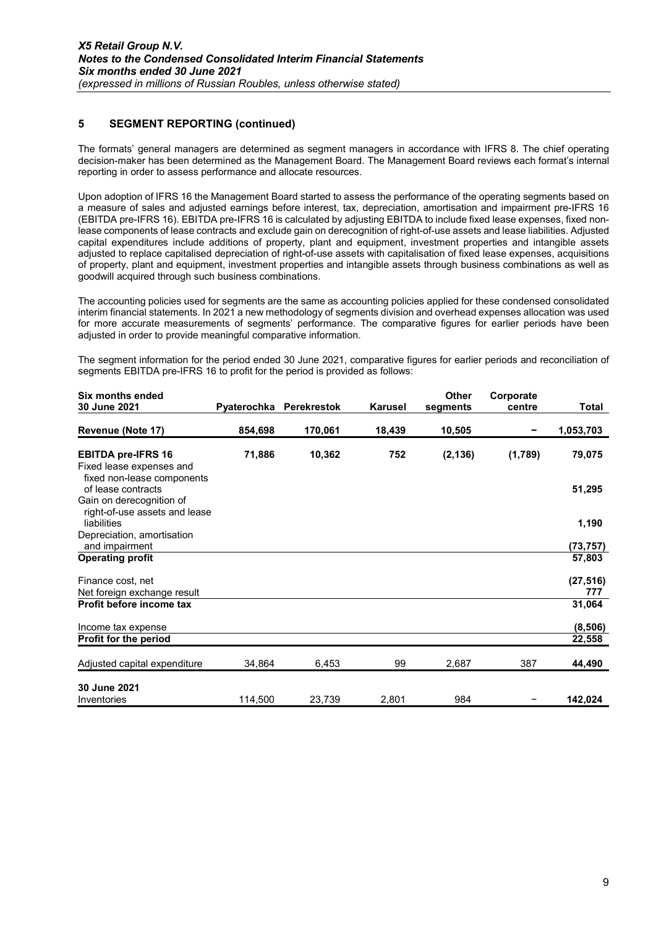### 5 SEGMENT REPORTING (continued)

The formats' general managers are determined as segment managers in accordance with IFRS 8. The chief operating decision-maker has been determined as the Management Board. The Management Board reviews each format's internal reporting in order to assess performance and allocate resources.

Upon adoption of IFRS 16 the Management Board started to assess the performance of the operating segments based on a measure of sales and adjusted earnings before interest, tax, depreciation, amortisation and impairment pre-IFRS 16 (EBITDA pre-IFRS 16). EBITDA pre-IFRS 16 is calculated by adjusting EBITDA to include fixed lease expenses, fixed nonlease components of lease contracts and exclude gain on derecognition of right-of-use assets and lease liabilities. Adjusted capital expenditures include additions of property, plant and equipment, investment properties and intangible assets adjusted to replace capitalised depreciation of right-of-use assets with capitalisation of fixed lease expenses, acquisitions of property, plant and equipment, investment properties and intangible assets through business combinations as well as goodwill acquired through such business combinations.

The accounting policies used for segments are the same as accounting policies applied for these condensed consolidated interim financial statements. In 2021 a new methodology of segments division and overhead expenses allocation was used for more accurate measurements of segments' performance. The comparative figures for earlier periods have been adjusted in order to provide meaningful comparative information.

The segment information for the period ended 30 June 2021, comparative figures for earlier periods and reconciliation of segments EBITDA pre-IFRS 16 to profit for the period is provided as follows:

| <b>Six months ended</b>                                                             |         |                         |                | <b>Other</b> | Corporate |           |
|-------------------------------------------------------------------------------------|---------|-------------------------|----------------|--------------|-----------|-----------|
| 30 June 2021                                                                        |         | Pyaterochka Perekrestok | <b>Karusel</b> | segments     | centre    | Total     |
| Revenue (Note 17)                                                                   | 854,698 | 170,061                 | 18,439         | 10,505       |           | 1,053,703 |
| <b>EBITDA pre-IFRS 16</b><br>Fixed lease expenses and<br>fixed non-lease components | 71,886  | 10,362                  | 752            | (2, 136)     | (1,789)   | 79,075    |
| of lease contracts<br>Gain on derecognition of<br>right-of-use assets and lease     |         |                         |                |              |           | 51,295    |
| liabilities                                                                         |         |                         |                |              |           | 1,190     |
| Depreciation, amortisation<br>and impairment                                        |         |                         |                |              |           | (73, 757) |
| <b>Operating profit</b>                                                             |         |                         |                |              |           | 57,803    |
| Finance cost, net                                                                   |         |                         |                |              |           | (27, 516) |
| Net foreign exchange result                                                         |         |                         |                |              |           | 777       |
| Profit before income tax                                                            |         |                         |                |              |           | 31,064    |
| Income tax expense                                                                  |         |                         |                |              |           | (8, 506)  |
| <b>Profit for the period</b>                                                        |         |                         |                |              |           | 22,558    |
| Adjusted capital expenditure                                                        | 34,864  | 6,453                   | 99             | 2,687        | 387       | 44,490    |
| 30 June 2021                                                                        |         |                         |                |              |           |           |
| Inventories                                                                         | 114,500 | 23,739                  | 2,801          | 984          |           | 142,024   |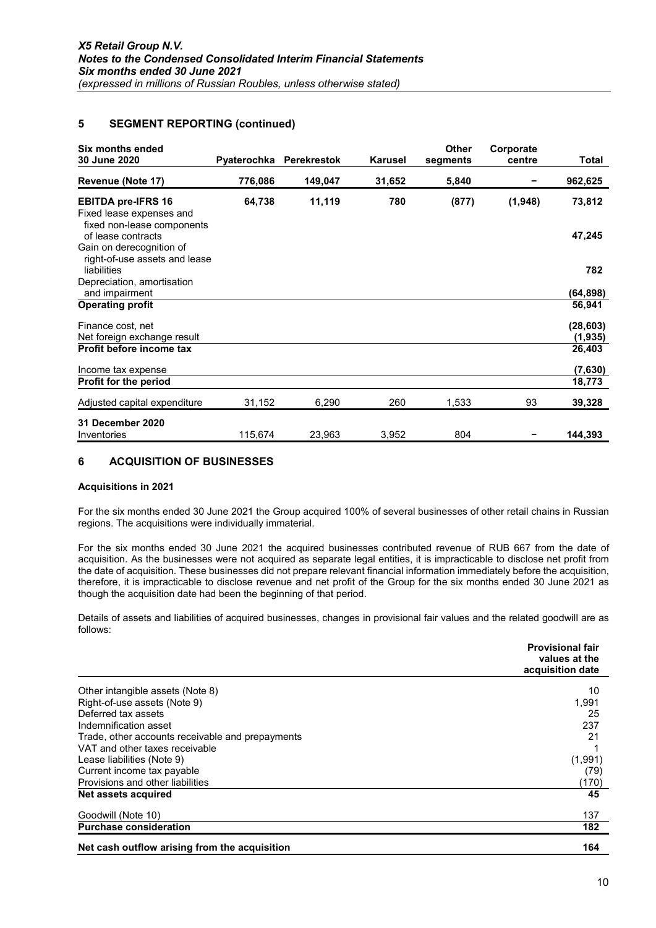### 5 SEGMENT REPORTING (continued)

| Six months ended<br>30 June 2020                                                    |         | Pyaterochka Perekrestok | Karusel | <b>Other</b><br>segments | Corporate<br>centre | Total                 |
|-------------------------------------------------------------------------------------|---------|-------------------------|---------|--------------------------|---------------------|-----------------------|
| Revenue (Note 17)                                                                   | 776,086 | 149,047                 | 31,652  | 5,840                    |                     | 962,625               |
| <b>EBITDA pre-IFRS 16</b><br>Fixed lease expenses and<br>fixed non-lease components | 64,738  | 11,119                  | 780     | (877)                    | (1,948)             | 73,812                |
| of lease contracts<br>Gain on derecognition of<br>right-of-use assets and lease     |         |                         |         |                          |                     | 47,245                |
| liabilities                                                                         |         |                         |         |                          |                     | 782                   |
| Depreciation, amortisation<br>and impairment                                        |         |                         |         |                          |                     | (64,898)              |
| <b>Operating profit</b>                                                             |         |                         |         |                          |                     | 56,941                |
| Finance cost, net<br>Net foreign exchange result                                    |         |                         |         |                          |                     | (28, 603)<br>(1, 935) |
| Profit before income tax                                                            |         |                         |         |                          |                     | 26,403                |
| Income tax expense<br>Profit for the period                                         |         |                         |         |                          |                     | (7,630)<br>18,773     |
| Adjusted capital expenditure                                                        | 31,152  | 6,290                   | 260     | 1,533                    | 93                  | 39,328                |
| 31 December 2020<br>Inventories                                                     | 115,674 | 23,963                  | 3,952   | 804                      |                     | 144,393               |

### 6 ACQUISITION OF BUSINESSES

#### Acquisitions in 2021

For the six months ended 30 June 2021 the Group acquired 100% of several businesses of other retail chains in Russian regions. The acquisitions were individually immaterial.

For the six months ended 30 June 2021 the acquired businesses contributed revenue of RUB 667 from the date of acquisition. As the businesses were not acquired as separate legal entities, it is impracticable to disclose net profit from the date of acquisition. These businesses did not prepare relevant financial information immediately before the acquisition, therefore, it is impracticable to disclose revenue and net profit of the Group for the six months ended 30 June 2021 as though the acquisition date had been the beginning of that period.

Details of assets and liabilities of acquired businesses, changes in provisional fair values and the related goodwill are as follows:

|                                                  | <b>Provisional fair</b><br>values at the<br>acquisition date |
|--------------------------------------------------|--------------------------------------------------------------|
| Other intangible assets (Note 8)                 | 10                                                           |
| Right-of-use assets (Note 9)                     | 1,991                                                        |
| Deferred tax assets                              | 25                                                           |
| Indemnification asset                            | 237                                                          |
| Trade, other accounts receivable and prepayments | 21                                                           |
| VAT and other taxes receivable                   |                                                              |
| Lease liabilities (Note 9)                       | (1,991)                                                      |
| Current income tax payable                       | (79)                                                         |
| Provisions and other liabilities                 | (170)                                                        |
| Net assets acquired                              | 45                                                           |
| Goodwill (Note 10)                               | 137                                                          |
| <b>Purchase consideration</b>                    | 182                                                          |
| Net cash outflow arising from the acquisition    | 164                                                          |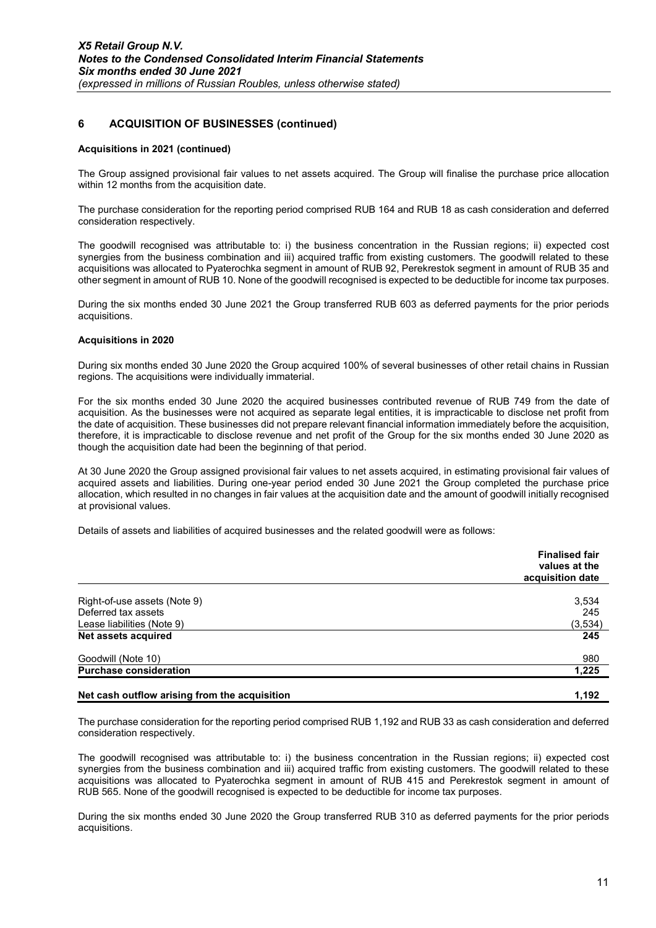### 6 ACQUISITION OF BUSINESSES (continued)

#### Acquisitions in 2021 (continued)

The Group assigned provisional fair values to net assets acquired. The Group will finalise the purchase price allocation within 12 months from the acquisition date.

The purchase consideration for the reporting period comprised RUB 164 and RUB 18 as cash consideration and deferred consideration respectively.

The goodwill recognised was attributable to: i) the business concentration in the Russian regions; ii) expected cost synergies from the business combination and iii) acquired traffic from existing customers. The goodwill related to these acquisitions was allocated to Pyaterochka segment in amount of RUB 92, Perekrestok segment in amount of RUB 35 and other segment in amount of RUB 10. None of the goodwill recognised is expected to be deductible for income tax purposes.

During the six months ended 30 June 2021 the Group transferred RUB 603 as deferred payments for the prior periods acquisitions.

#### Acquisitions in 2020

During six months ended 30 June 2020 the Group acquired 100% of several businesses of other retail chains in Russian regions. The acquisitions were individually immaterial.

For the six months ended 30 June 2020 the acquired businesses contributed revenue of RUB 749 from the date of acquisition. As the businesses were not acquired as separate legal entities, it is impracticable to disclose net profit from the date of acquisition. These businesses did not prepare relevant financial information immediately before the acquisition, therefore, it is impracticable to disclose revenue and net profit of the Group for the six months ended 30 June 2020 as though the acquisition date had been the beginning of that period.

At 30 June 2020 the Group assigned provisional fair values to net assets acquired, in estimating provisional fair values of acquired assets and liabilities. During one-year period ended 30 June 2021 the Group completed the purchase price allocation, which resulted in no changes in fair values at the acquisition date and the amount of goodwill initially recognised at provisional values.

Details of assets and liabilities of acquired businesses and the related goodwill were as follows:

|                                               | <b>Finalised fair</b><br>values at the<br>acquisition date |
|-----------------------------------------------|------------------------------------------------------------|
| Right-of-use assets (Note 9)                  | 3,534                                                      |
| Deferred tax assets                           | 245                                                        |
| Lease liabilities (Note 9)                    | (3, 534)                                                   |
| Net assets acquired                           | 245                                                        |
| Goodwill (Note 10)                            | 980                                                        |
| <b>Purchase consideration</b>                 | 1,225                                                      |
| Net cash outflow arising from the acquisition | 1,192                                                      |

The purchase consideration for the reporting period comprised RUB 1,192 and RUB 33 as cash consideration and deferred consideration respectively.

The goodwill recognised was attributable to: i) the business concentration in the Russian regions; ii) expected cost synergies from the business combination and iii) acquired traffic from existing customers. The goodwill related to these acquisitions was allocated to Pyaterochka segment in amount of RUB 415 and Perekrestok segment in amount of RUB 565. None of the goodwill recognised is expected to be deductible for income tax purposes.

During the six months ended 30 June 2020 the Group transferred RUB 310 as deferred payments for the prior periods acquisitions.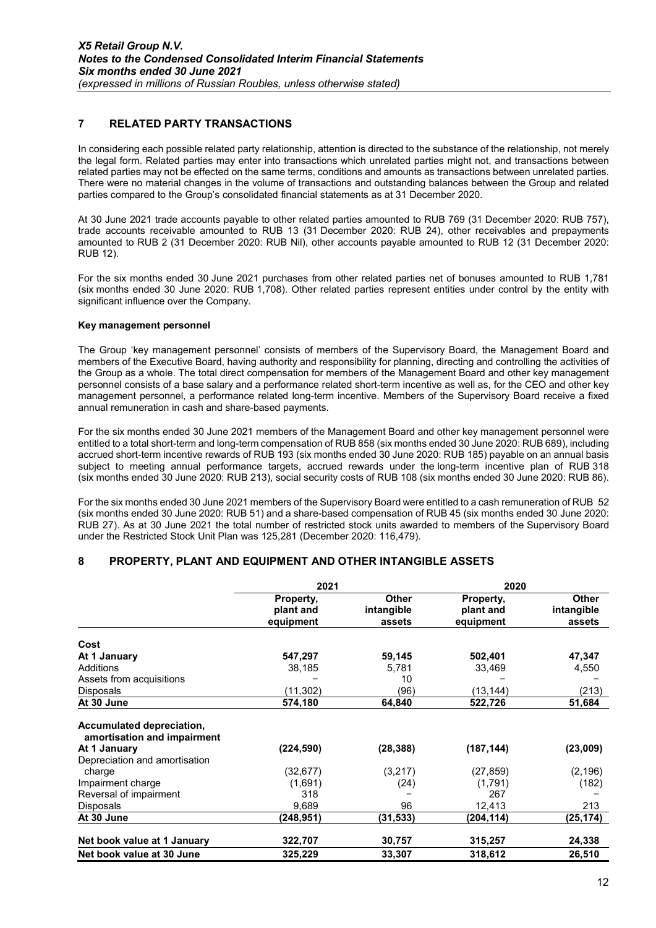### 7 RELATED PARTY TRANSACTIONS

In considering each possible related party relationship, attention is directed to the substance of the relationship, not merely the legal form. Related parties may enter into transactions which unrelated parties might not, and transactions between related parties may not be effected on the same terms, conditions and amounts as transactions between unrelated parties. There were no material changes in the volume of transactions and outstanding balances between the Group and related parties compared to the Group's consolidated financial statements as at 31 December 2020.

At 30 June 2021 trade accounts payable to other related parties amounted to RUB 769 (31 December 2020: RUB 757), trade accounts receivable amounted to RUB 13 (31 December 2020: RUB 24), other receivables and prepayments amounted to RUB 2 (31 December 2020: RUB Nil), other accounts payable amounted to RUB 12 (31 December 2020: RUB 12).

For the six months ended 30 June 2021 purchases from other related parties net of bonuses amounted to RUB 1,781 (six months ended 30 June 2020: RUB 1,708). Other related parties represent entities under control by the entity with significant influence over the Company.

#### Key management personnel

The Group 'key management personnel' consists of members of the Supervisory Board, the Management Board and members of the Executive Board, having authority and responsibility for planning, directing and controlling the activities of the Group as a whole. The total direct compensation for members of the Management Board and other key management personnel consists of a base salary and a performance related short-term incentive as well as, for the CEO and other key management personnel, a performance related long-term incentive. Members of the Supervisory Board receive a fixed annual remuneration in cash and share-based payments.

For the six months ended 30 June 2021 members of the Management Board and other key management personnel were entitled to a total short-term and long-term compensation of RUB 858 (six months ended 30 June 2020: RUB 689), including accrued short-term incentive rewards of RUB 193 (six months ended 30 June 2020: RUB 185) payable on an annual basis subject to meeting annual performance targets, accrued rewards under the long-term incentive plan of RUB 318 (six months ended 30 June 2020: RUB 213), social security costs of RUB 108 (six months ended 30 June 2020: RUB 86).

For the six months ended 30 June 2021 members of the Supervisory Board were entitled to a cash remuneration of RUB 52 (six months ended 30 June 2020: RUB 51) and a share-based compensation of RUB 45 (six months ended 30 June 2020: RUB 27). As at 30 June 2021 the total number of restricted stock units awarded to members of the Supervisory Board under the Restricted Stock Unit Plan was 125,281 (December 2020: 116,479).

### 8 PROPERTY, PLANT AND EQUIPMENT AND OTHER INTANGIBLE ASSETS

|                                                                                                           | 2021                   |                            | 2020                   |                            |  |
|-----------------------------------------------------------------------------------------------------------|------------------------|----------------------------|------------------------|----------------------------|--|
|                                                                                                           | Property,<br>plant and | <b>Other</b><br>intangible | Property,<br>plant and | <b>Other</b><br>intangible |  |
|                                                                                                           | equipment              | assets                     | equipment              | assets                     |  |
| Cost                                                                                                      |                        |                            |                        |                            |  |
| At 1 January                                                                                              | 547,297                | 59,145                     | 502,401                | 47,347                     |  |
| Additions                                                                                                 | 38,185                 | 5,781                      | 33,469                 | 4,550                      |  |
| Assets from acquisitions                                                                                  |                        | 10                         |                        |                            |  |
| <b>Disposals</b>                                                                                          | (11, 302)              | (96)                       | (13, 144)              | (213)                      |  |
| At 30 June                                                                                                | 574,180                | 64,840                     | 522,726                | 51,684                     |  |
| Accumulated depreciation,<br>amortisation and impairment<br>At 1 January<br>Depreciation and amortisation | (224, 590)             | (28, 388)                  | (187, 144)             | (23,009)                   |  |
| charge                                                                                                    | (32, 677)              | (3,217)                    | (27, 859)              | (2, 196)                   |  |
| Impairment charge                                                                                         | (1,691)                | (24)                       | (1,791)                | (182)                      |  |
| Reversal of impairment                                                                                    | 318                    |                            | 267                    |                            |  |
| <b>Disposals</b>                                                                                          | 9,689                  | 96                         | 12,413                 | 213                        |  |
| At 30 June                                                                                                | (248,951)              | (31, 533)                  | (204, 114)             | (25, 174)                  |  |
| Net book value at 1 January                                                                               | 322,707                | 30,757                     | 315,257                | 24,338                     |  |
| Net book value at 30 June                                                                                 | 325,229                | 33,307                     | 318,612                | 26,510                     |  |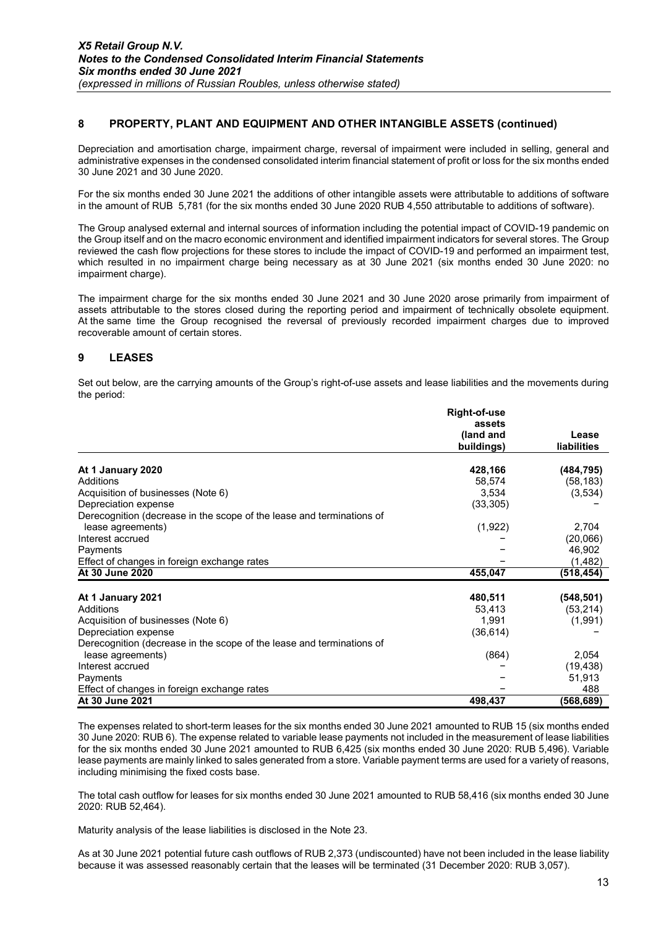### 8 PROPERTY, PLANT AND EQUIPMENT AND OTHER INTANGIBLE ASSETS (continued)

Depreciation and amortisation charge, impairment charge, reversal of impairment were included in selling, general and administrative expenses in the condensed consolidated interim financial statement of profit or loss for the six months ended 30 June 2021 and 30 June 2020.

For the six months ended 30 June 2021 the additions of other intangible assets were attributable to additions of software in the amount of RUB 5,781 (for the six months ended 30 June 2020 RUB 4,550 attributable to additions of software).

The Group analysed external and internal sources of information including the potential impact of COVID-19 pandemic on the Group itself and on the macro economic environment and identified impairment indicators for several stores. The Group reviewed the cash flow projections for these stores to include the impact of COVID-19 and performed an impairment test, which resulted in no impairment charge being necessary as at 30 June 2021 (six months ended 30 June 2020: no impairment charge).

The impairment charge for the six months ended 30 June 2021 and 30 June 2020 arose primarily from impairment of assets attributable to the stores closed during the reporting period and impairment of technically obsolete equipment. At the same time the Group recognised the reversal of previously recorded impairment charges due to improved recoverable amount of certain stores.

### 9 LEASES

Set out below, are the carrying amounts of the Group's right-of-use assets and lease liabilities and the movements during the period:

|                                                                                            | <b>Right-of-use</b> |                    |
|--------------------------------------------------------------------------------------------|---------------------|--------------------|
|                                                                                            | assets              |                    |
|                                                                                            | (land and           | Lease              |
|                                                                                            | buildings)          | <b>liabilities</b> |
| At 1 January 2020                                                                          | 428,166             | (484, 795)         |
| Additions                                                                                  | 58,574              | (58, 183)          |
| Acquisition of businesses (Note 6)                                                         | 3,534               | (3,534)            |
| Depreciation expense                                                                       | (33, 305)           |                    |
| Derecognition (decrease in the scope of the lease and terminations of                      |                     |                    |
| lease agreements)                                                                          | (1,922)             | 2,704              |
| Interest accrued                                                                           |                     | (20,066)           |
| Payments                                                                                   |                     | 46,902             |
| Effect of changes in foreign exchange rates                                                |                     | (1,482)            |
| At 30 June 2020                                                                            | 455,047             | (518,454)          |
|                                                                                            |                     |                    |
| At 1 January 2021<br>Additions                                                             | 480,511             | (548, 501)         |
|                                                                                            | 53,413              | (53, 214)          |
| Acquisition of businesses (Note 6)<br>Depreciation expense                                 | 1,991<br>(36, 614)  | (1,991)            |
|                                                                                            |                     |                    |
| Derecognition (decrease in the scope of the lease and terminations of<br>lease agreements) | (864)               | 2,054              |
| Interest accrued                                                                           |                     | (19, 438)          |
|                                                                                            |                     |                    |
| Payments<br>Effect of changes in foreign exchange rates                                    |                     | 51,913<br>488      |
| At 30 June 2021                                                                            | 498,437             |                    |
|                                                                                            |                     | (568,689)          |

The expenses related to short-term leases for the six months ended 30 June 2021 amounted to RUB 15 (six months ended 30 June 2020: RUB 6). The expense related to variable lease payments not included in the measurement of lease liabilities for the six months ended 30 June 2021 amounted to RUB 6,425 (six months ended 30 June 2020: RUB 5,496). Variable lease payments are mainly linked to sales generated from a store. Variable payment terms are used for a variety of reasons, including minimising the fixed costs base.

The total cash outflow for leases for six months ended 30 June 2021 amounted to RUB 58,416 (six months ended 30 June 2020: RUB 52,464).

Maturity analysis of the lease liabilities is disclosed in the Note 23.

As at 30 June 2021 potential future cash outflows of RUB 2,373 (undiscounted) have not been included in the lease liability because it was assessed reasonably certain that the leases will be terminated (31 December 2020: RUB 3,057).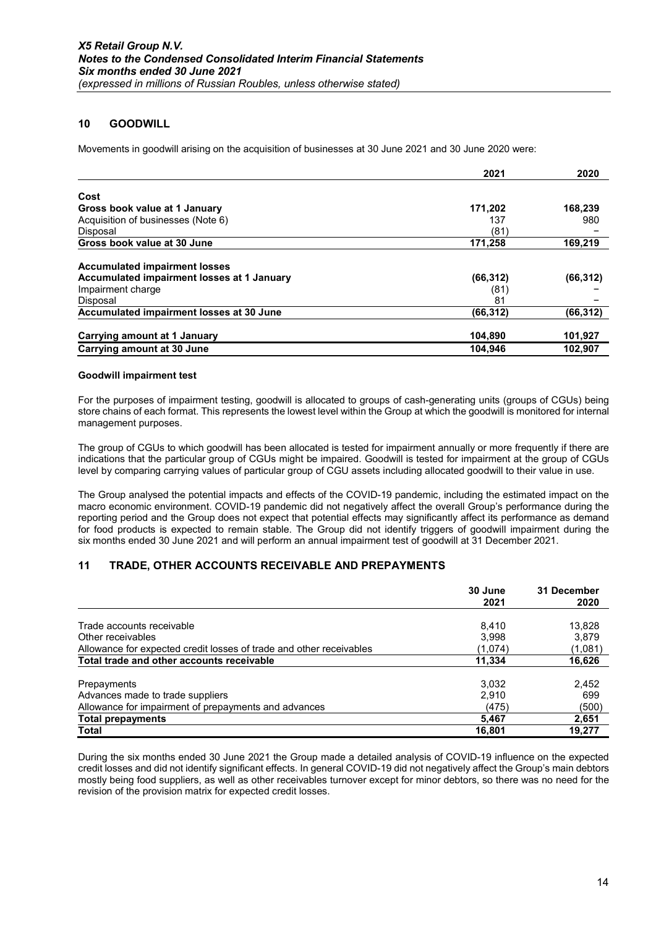### 10 GOODWILL

Movements in goodwill arising on the acquisition of businesses at 30 June 2021 and 30 June 2020 were:

|                                            | 2021      | 2020      |
|--------------------------------------------|-----------|-----------|
| Cost                                       |           |           |
| Gross book value at 1 January              | 171,202   | 168,239   |
| Acquisition of businesses (Note 6)         | 137       | 980       |
| Disposal                                   | (81)      |           |
| Gross book value at 30 June                | 171,258   | 169,219   |
| <b>Accumulated impairment losses</b>       |           |           |
| Accumulated impairment losses at 1 January | (66, 312) | (66, 312) |
| Impairment charge                          | (81)      |           |
| <b>Disposal</b>                            | 81        |           |
| Accumulated impairment losses at 30 June   | (66,312)  | (66, 312) |
| Carrying amount at 1 January               | 104,890   | 101,927   |
| Carrying amount at 30 June                 | 104.946   | 102.907   |

#### Goodwill impairment test

For the purposes of impairment testing, goodwill is allocated to groups of cash-generating units (groups of CGUs) being store chains of each format. This represents the lowest level within the Group at which the goodwill is monitored for internal management purposes.

The group of CGUs to which goodwill has been allocated is tested for impairment annually or more frequently if there are indications that the particular group of CGUs might be impaired. Goodwill is tested for impairment at the group of CGUs level by comparing carrying values of particular group of CGU assets including allocated goodwill to their value in use.

The Group analysed the potential impacts and effects of the COVID-19 pandemic, including the estimated impact on the macro economic environment. COVID-19 pandemic did not negatively affect the overall Group's performance during the reporting period and the Group does not expect that potential effects may significantly affect its performance as demand for food products is expected to remain stable. The Group did not identify triggers of goodwill impairment during the six months ended 30 June 2021 and will perform an annual impairment test of goodwill at 31 December 2021.

### 11 TRADE, OTHER ACCOUNTS RECEIVABLE AND PREPAYMENTS

|                                                                     | 30 June<br>2021 | 31 December<br>2020 |
|---------------------------------------------------------------------|-----------------|---------------------|
|                                                                     |                 |                     |
| Trade accounts receivable                                           | 8,410           | 13,828              |
| Other receivables                                                   | 3.998           | 3.879               |
| Allowance for expected credit losses of trade and other receivables | (1,074)         | (1,081)             |
| Total trade and other accounts receivable                           | 11,334          | 16,626              |
| Prepayments                                                         | 3,032           | 2,452               |
| Advances made to trade suppliers                                    | 2.910           | 699                 |
| Allowance for impairment of prepayments and advances                | (475)           | (500)               |
| <b>Total prepayments</b>                                            | 5,467           | 2,651               |
| <b>Total</b>                                                        | 16,801          | 19.277              |

During the six months ended 30 June 2021 the Group made a detailed analysis of COVID-19 influence on the expected credit losses and did not identify significant effects. In general COVID-19 did not negatively affect the Group's main debtors mostly being food suppliers, as well as other receivables turnover except for minor debtors, so there was no need for the revision of the provision matrix for expected credit losses.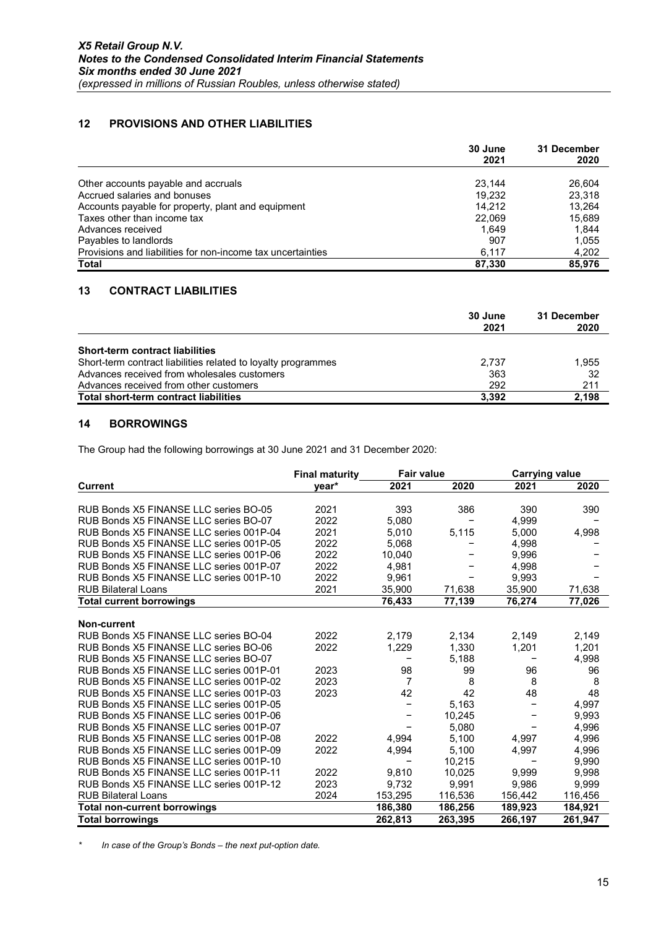### 12 PROVISIONS AND OTHER LIABILITIES

|                                                             | 30 June | 31 December |
|-------------------------------------------------------------|---------|-------------|
|                                                             | 2021    | 2020        |
| Other accounts payable and accruals                         | 23.144  | 26.604      |
| Accrued salaries and bonuses                                | 19.232  | 23.318      |
| Accounts payable for property, plant and equipment          | 14.212  | 13.264      |
| Taxes other than income tax                                 | 22,069  | 15,689      |
| Advances received                                           | 1.649   | 1,844       |
| Payables to landlords                                       | 907     | 1,055       |
| Provisions and liabilities for non-income tax uncertainties | 6.117   | 4,202       |
| <b>Total</b>                                                | 87.330  | 85.976      |

### 13 CONTRACT LIABILITIES

|                                                               | 30 June<br>2021 | 31 December<br>2020 |
|---------------------------------------------------------------|-----------------|---------------------|
| <b>Short-term contract liabilities</b>                        |                 |                     |
| Short-term contract liabilities related to loyalty programmes | 2.737           | 1,955               |
| Advances received from wholesales customers                   | 363             | 32                  |
| Advances received from other customers                        | 292             | 211                 |
| Total short-term contract liabilities                         | 3.392           | 2,198               |

### 14 BORROWINGS

The Group had the following borrowings at 30 June 2021 and 31 December 2020:

|                                         | <b>Final maturity</b> | <b>Fair value</b> |         | <b>Carrying value</b> |         |
|-----------------------------------------|-----------------------|-------------------|---------|-----------------------|---------|
| <b>Current</b>                          | vear*                 | 2021              | 2020    | 2021                  | 2020    |
|                                         |                       |                   |         |                       |         |
| RUB Bonds X5 FINANSE LLC series BO-05   | 2021                  | 393               | 386     | 390                   | 390     |
| RUB Bonds X5 FINANSE LLC series BO-07   | 2022                  | 5,080             |         | 4,999                 |         |
| RUB Bonds X5 FINANSE LLC series 001P-04 | 2021                  | 5,010             | 5,115   | 5,000                 | 4,998   |
| RUB Bonds X5 FINANSE LLC series 001P-05 | 2022                  | 5,068             |         | 4,998                 |         |
| RUB Bonds X5 FINANSE LLC series 001P-06 | 2022                  | 10.040            |         | 9.996                 |         |
| RUB Bonds X5 FINANSE LLC series 001P-07 | 2022                  | 4,981             |         | 4,998                 |         |
| RUB Bonds X5 FINANSE LLC series 001P-10 | 2022                  | 9.961             |         | 9.993                 |         |
| <b>RUB Bilateral Loans</b>              | 2021                  | 35,900            | 71,638  | 35,900                | 71,638  |
| <b>Total current borrowings</b>         |                       | 76,433            | 77,139  | 76,274                | 77,026  |
|                                         |                       |                   |         |                       |         |
| Non-current                             |                       |                   |         |                       |         |
| RUB Bonds X5 FINANSE LLC series BO-04   | 2022                  | 2,179             | 2,134   | 2,149                 | 2,149   |
| RUB Bonds X5 FINANSE LLC series BO-06   | 2022                  | 1,229             | 1,330   | 1,201                 | 1,201   |
| RUB Bonds X5 FINANSE LLC series BO-07   |                       |                   | 5,188   |                       | 4,998   |
| RUB Bonds X5 FINANSE LLC series 001P-01 | 2023                  | 98                | 99      | 96                    | 96      |
| RUB Bonds X5 FINANSE LLC series 001P-02 | 2023                  | 7                 | 8       | 8                     | 8       |
| RUB Bonds X5 FINANSE LLC series 001P-03 | 2023                  | 42                | 42      | 48                    | 48      |
| RUB Bonds X5 FINANSE LLC series 001P-05 |                       |                   | 5,163   |                       | 4,997   |
| RUB Bonds X5 FINANSE LLC series 001P-06 |                       |                   | 10,245  |                       | 9,993   |
| RUB Bonds X5 FINANSE LLC series 001P-07 |                       |                   | 5,080   |                       | 4,996   |
| RUB Bonds X5 FINANSE LLC series 001P-08 | 2022                  | 4,994             | 5,100   | 4,997                 | 4,996   |
| RUB Bonds X5 FINANSE LLC series 001P-09 | 2022                  | 4,994             | 5,100   | 4,997                 | 4,996   |
| RUB Bonds X5 FINANSE LLC series 001P-10 |                       |                   | 10,215  |                       | 9,990   |
| RUB Bonds X5 FINANSE LLC series 001P-11 | 2022                  | 9.810             | 10.025  | 9.999                 | 9,998   |
| RUB Bonds X5 FINANSE LLC series 001P-12 | 2023                  | 9,732             | 9,991   | 9,986                 | 9,999   |
| <b>RUB Bilateral Loans</b>              | 2024                  | 153,295           | 116,536 | 156,442               | 116,456 |
| <b>Total non-current borrowings</b>     |                       | 186,380           | 186,256 | 189,923               | 184,921 |
| <b>Total borrowings</b>                 |                       | 262,813           | 263,395 | 266,197               | 261,947 |

In case of the Group's Bonds - the next put-option date.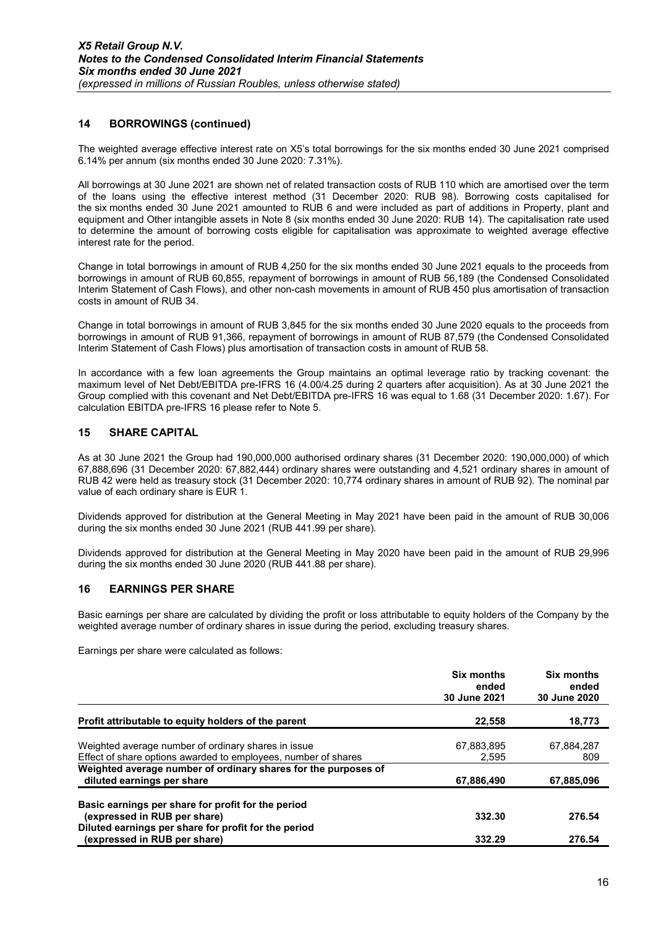### 14 BORROWINGS (continued)

The weighted average effective interest rate on X5's total borrowings for the six months ended 30 June 2021 comprised 6.14% per annum (six months ended 30 June 2020: 7.31%).

All borrowings at 30 June 2021 are shown net of related transaction costs of RUB 110 which are amortised over the term of the loans using the effective interest method (31 December 2020: RUB 98). Borrowing costs capitalised for the six months ended 30 June 2021 amounted to RUB 6 and were included as part of additions in Property, plant and equipment and Other intangible assets in Note 8 (six months ended 30 June 2020: RUB 14). The capitalisation rate used to determine the amount of borrowing costs eligible for capitalisation was approximate to weighted average effective interest rate for the period.

Change in total borrowings in amount of RUB 4,250 for the six months ended 30 June 2021 equals to the proceeds from borrowings in amount of RUB 60,855, repayment of borrowings in amount of RUB 56,189 (the Condensed Consolidated Interim Statement of Cash Flows), and other non-cash movements in amount of RUB 450 plus amortisation of transaction costs in amount of RUB 34.

Change in total borrowings in amount of RUB 3,845 for the six months ended 30 June 2020 equals to the proceeds from borrowings in amount of RUB 91,366, repayment of borrowings in amount of RUB 87,579 (the Condensed Consolidated Interim Statement of Cash Flows) plus amortisation of transaction costs in amount of RUB 58.

In accordance with a few loan agreements the Group maintains an optimal leverage ratio by tracking covenant: the maximum level of Net Debt/EBITDA pre-IFRS 16 (4.00/4.25 during 2 quarters after acquisition). As at 30 June 2021 the Group complied with this covenant and Net Debt/EBITDA pre-IFRS 16 was equal to 1.68 (31 December 2020: 1.67). For calculation EBITDA pre-IFRS 16 please refer to Note 5.

### 15 SHARE CAPITAL

As at 30 June 2021 the Group had 190,000,000 authorised ordinary shares (31 December 2020: 190,000,000) of which 67,888,696 (31 December 2020: 67,882,444) ordinary shares were outstanding and 4,521 ordinary shares in amount of RUB 42 were held as treasury stock (31 December 2020: 10,774 ordinary shares in amount of RUB 92). The nominal par value of each ordinary share is EUR 1.

Dividends approved for distribution at the General Meeting in May 2021 have been paid in the amount of RUB 30,006 during the six months ended 30 June 2021 (RUB 441.99 per share).

Dividends approved for distribution at the General Meeting in May 2020 have been paid in the amount of RUB 29,996 during the six months ended 30 June 2020 (RUB 441.88 per share).

#### 16 EARNINGS PER SHARE

Basic earnings per share are calculated by dividing the profit or loss attributable to equity holders of the Company by the weighted average number of ordinary shares in issue during the period, excluding treasury shares.

Earnings per share were calculated as follows:

|                                                                | Six months<br>ended<br>30 June 2021 | Six months<br>ended<br>30 June 2020 |
|----------------------------------------------------------------|-------------------------------------|-------------------------------------|
| Profit attributable to equity holders of the parent            | 22.558                              | 18,773                              |
| Weighted average number of ordinary shares in issue            | 67,883,895                          | 67,884,287                          |
| Effect of share options awarded to employees, number of shares | 2,595                               | 809                                 |
| Weighted average number of ordinary shares for the purposes of |                                     |                                     |
| diluted earnings per share                                     | 67,886,490                          | 67,885,096                          |
| Basic earnings per share for profit for the period             |                                     |                                     |
| (expressed in RUB per share)                                   | 332.30                              | 276.54                              |
| Diluted earnings per share for profit for the period           |                                     |                                     |
| (expressed in RUB per share)                                   | 332.29                              | 276.54                              |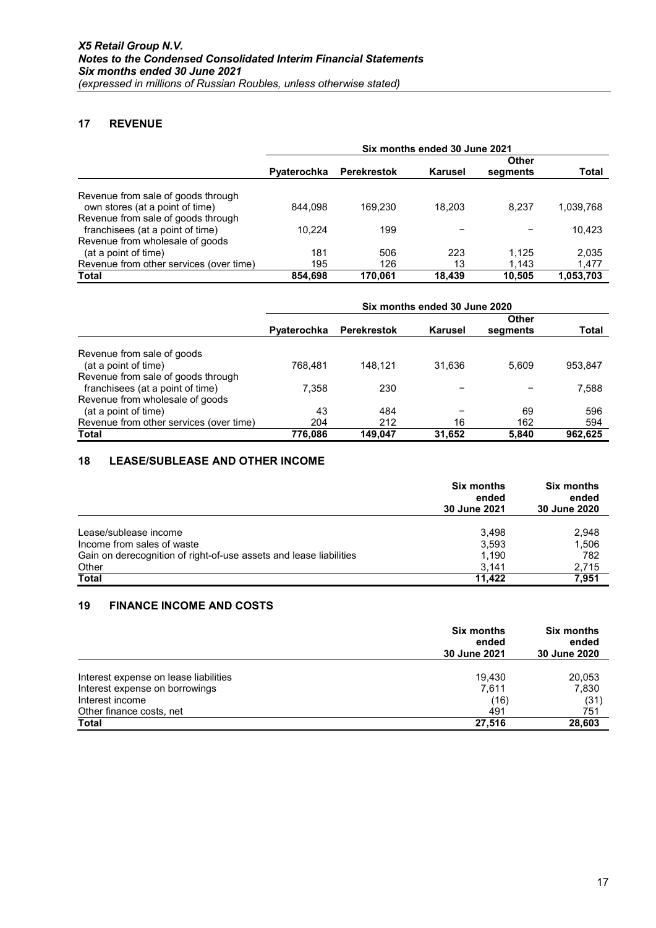### 17 REVENUE

|                                         | Six months ended 30 June 2021 |                    |              |          |           |
|-----------------------------------------|-------------------------------|--------------------|--------------|----------|-----------|
|                                         |                               |                    | <b>Other</b> |          |           |
|                                         | Pyaterochka                   | <b>Perekrestok</b> | Karusel      | segments | Total     |
| Revenue from sale of goods through      |                               |                    |              |          |           |
| own stores (at a point of time)         | 844.098                       | 169.230            | 18.203       | 8.237    | 1,039,768 |
| Revenue from sale of goods through      |                               |                    |              |          |           |
| franchisees (at a point of time)        | 10.224                        | 199                |              |          | 10,423    |
| Revenue from wholesale of goods         |                               |                    |              |          |           |
| (at a point of time)                    | 181                           | 506                | 223          | 1.125    | 2,035     |
| Revenue from other services (over time) | 195                           | 126                | 13           | 1.143    | 1,477     |
| Total                                   | 854.698                       | 170.061            | 18.439       | 10.505   | 1,053,703 |

|                                         | Six months ended 30 June 2020 |                    |              |          |         |
|-----------------------------------------|-------------------------------|--------------------|--------------|----------|---------|
|                                         |                               |                    | <b>Other</b> |          |         |
|                                         | Pyaterochka                   | <b>Perekrestok</b> | Karusel      | segments | Total   |
| Revenue from sale of goods              |                               |                    |              |          |         |
| (at a point of time)                    | 768.481                       | 148.121            | 31.636       | 5.609    | 953,847 |
| Revenue from sale of goods through      |                               |                    |              |          |         |
| franchisees (at a point of time)        | 7.358                         | 230                |              |          | 7,588   |
| Revenue from wholesale of goods         |                               |                    |              |          |         |
| (at a point of time)                    | 43                            | 484                |              | 69       | 596     |
| Revenue from other services (over time) | 204                           | 212                | 16           | 162      | 594     |
| Total                                   | 776,086                       | 149.047            | 31,652       | 5.840    | 962.625 |

### 18 LEASE/SUBLEASE AND OTHER INCOME

|                                                                    | <b>Six months</b><br>ended<br>30 June 2021 | <b>Six months</b><br>ended<br>30 June 2020 |
|--------------------------------------------------------------------|--------------------------------------------|--------------------------------------------|
|                                                                    |                                            |                                            |
| Lease/sublease income                                              | 3.498                                      | 2,948                                      |
| Income from sales of waste                                         | 3.593                                      | 1,506                                      |
| Gain on derecognition of right-of-use assets and lease liabilities | 1.190                                      | 782                                        |
| Other                                                              | 3.141                                      | 2,715                                      |
| <b>Total</b>                                                       | 11.422                                     | 7.951                                      |

### 19 FINANCE INCOME AND COSTS

|                                       | <b>Six months</b><br>ended<br>30 June 2021 | <b>Six months</b><br>ended<br>30 June 2020 |
|---------------------------------------|--------------------------------------------|--------------------------------------------|
| Interest expense on lease liabilities | 19.430                                     | 20,053                                     |
| Interest expense on borrowings        | 7.611                                      | 7,830                                      |
| Interest income                       | (16)                                       | (31)                                       |
| Other finance costs, net              | 491                                        | 751                                        |
| Total                                 | 27.516                                     | 28,603                                     |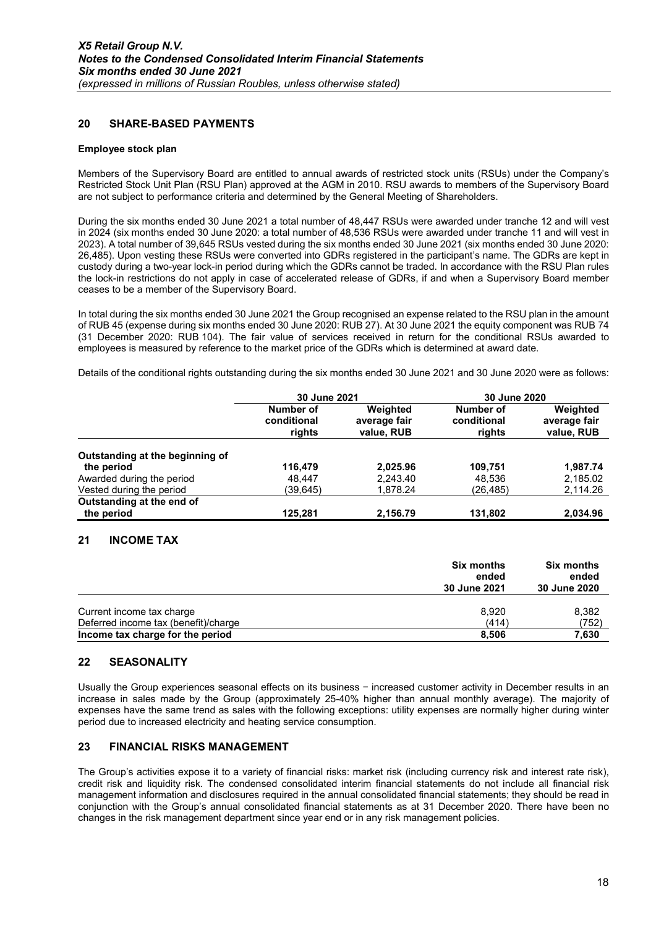### 20 SHARE-BASED PAYMENTS

#### Employee stock plan

Members of the Supervisory Board are entitled to annual awards of restricted stock units (RSUs) under the Company's Restricted Stock Unit Plan (RSU Plan) approved at the AGM in 2010. RSU awards to members of the Supervisory Board are not subject to performance criteria and determined by the General Meeting of Shareholders.

During the six months ended 30 June 2021 a total number of 48,447 RSUs were awarded under tranche 12 and will vest in 2024 (six months ended 30 June 2020: a total number of 48,536 RSUs were awarded under tranche 11 and will vest in 2023). A total number of 39,645 RSUs vested during the six months ended 30 June 2021 (six months ended 30 June 2020: 26,485). Upon vesting these RSUs were converted into GDRs registered in the participant's name. The GDRs are kept in custody during a two-year lock-in period during which the GDRs cannot be traded. In accordance with the RSU Plan rules the lock-in restrictions do not apply in case of accelerated release of GDRs, if and when a Supervisory Board member ceases to be a member of the Supervisory Board.

In total during the six months ended 30 June 2021 the Group recognised an expense related to the RSU plan in the amount of RUB 45 (expense during six months ended 30 June 2020: RUB 27). At 30 June 2021 the equity component was RUB 74 (31 December 2020: RUB 104). The fair value of services received in return for the conditional RSUs awarded to employees is measured by reference to the market price of the GDRs which is determined at award date.

Details of the conditional rights outstanding during the six months ended 30 June 2021 and 30 June 2020 were as follows:

|                                 | 30 June 2021                       |                                        | 30 June 2020                       |                                        |
|---------------------------------|------------------------------------|----------------------------------------|------------------------------------|----------------------------------------|
|                                 | Number of<br>conditional<br>rights | Weighted<br>average fair<br>value, RUB | Number of<br>conditional<br>rights | Weighted<br>average fair<br>value, RUB |
| Outstanding at the beginning of |                                    |                                        |                                    |                                        |
| the period                      | 116.479                            | 2,025.96                               | 109.751                            | 1.987.74                               |
| Awarded during the period       | 48.447                             | 2.243.40                               | 48,536                             | 2,185.02                               |
| Vested during the period        | (39,645)                           | 1,878.24                               | (26,485)                           | 2,114.26                               |
| Outstanding at the end of       |                                    |                                        |                                    |                                        |
| the period                      | 125.281                            | 2,156.79                               | 131,802                            | 2.034.96                               |

### 21 INCOME TAX

|                                                                          | <b>Six months</b><br>ended<br>30 June 2021 | <b>Six months</b><br>ended<br>30 June 2020 |
|--------------------------------------------------------------------------|--------------------------------------------|--------------------------------------------|
| Current income tax charge                                                | 8.920                                      | 8,382                                      |
| Deferred income tax (benefit)/charge<br>Income tax charge for the period | (414)<br>8.506                             | (752)<br>7,630                             |

#### 22 SEASONALITY

Usually the Group experiences seasonal effects on its business − increased customer activity in December results in an increase in sales made by the Group (approximately 25-40% higher than annual monthly average). The majority of expenses have the same trend as sales with the following exceptions: utility expenses are normally higher during winter period due to increased electricity and heating service consumption.

#### 23 FINANCIAL RISKS MANAGEMENT

The Group's activities expose it to a variety of financial risks: market risk (including currency risk and interest rate risk), credit risk and liquidity risk. The condensed consolidated interim financial statements do not include all financial risk management information and disclosures required in the annual consolidated financial statements; they should be read in conjunction with the Group's annual consolidated financial statements as at 31 December 2020. There have been no changes in the risk management department since year end or in any risk management policies.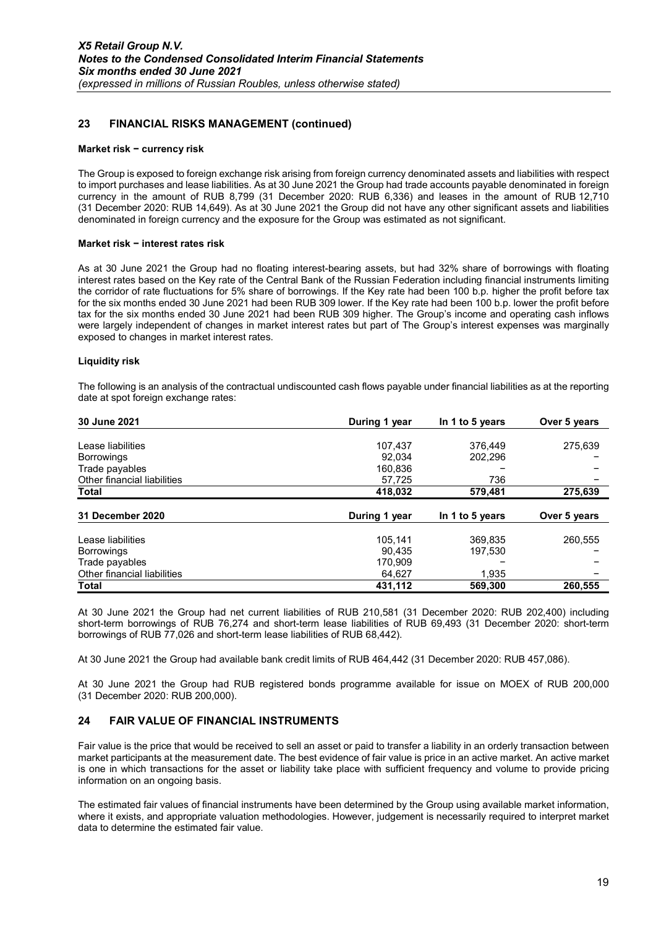### 23 FINANCIAL RISKS MANAGEMENT (continued)

#### Market risk − currency risk

The Group is exposed to foreign exchange risk arising from foreign currency denominated assets and liabilities with respect to import purchases and lease liabilities. As at 30 June 2021 the Group had trade accounts payable denominated in foreign currency in the amount of RUB 8,799 (31 December 2020: RUB 6,336) and leases in the amount of RUB 12,710 (31 December 2020: RUB 14,649). As at 30 June 2021 the Group did not have any other significant assets and liabilities denominated in foreign currency and the exposure for the Group was estimated as not significant.

#### Market risk − interest rates risk

As at 30 June 2021 the Group had no floating interest-bearing assets, but had 32% share of borrowings with floating interest rates based on the Key rate of the Central Bank of the Russian Federation including financial instruments limiting the corridor of rate fluctuations for 5% share of borrowings. If the Key rate had been 100 b.p. higher the profit before tax for the six months ended 30 June 2021 had been RUB 309 lower. If the Key rate had been 100 b.p. lower the profit before tax for the six months ended 30 June 2021 had been RUB 309 higher. The Group's income and operating cash inflows were largely independent of changes in market interest rates but part of The Group's interest expenses was marginally exposed to changes in market interest rates.

#### Liquidity risk

The following is an analysis of the contractual undiscounted cash flows payable under financial liabilities as at the reporting date at spot foreign exchange rates:

| 30 June 2021                | During 1 year | In 1 to 5 years | Over 5 years |
|-----------------------------|---------------|-----------------|--------------|
|                             |               |                 |              |
| Lease liabilities           | 107.437       | 376,449         | 275.639      |
| <b>Borrowings</b>           | 92.034        | 202.296         |              |
| Trade payables              | 160.836       |                 |              |
| Other financial liabilities | 57,725        | 736             |              |
| Total                       | 418,032       | 579,481         | 275,639      |
|                             |               |                 |              |
| 31 December 2020            | During 1 year | In 1 to 5 years | Over 5 years |
| Lease liabilities           | 105.141       | 369.835         | 260,555      |
| <b>Borrowings</b>           | 90,435        | 197,530         |              |
| Trade payables              | 170.909       |                 |              |
| Other financial liabilities | 64.627        | 1.935           |              |
| <b>Total</b>                | 431,112       | 569,300         | 260,555      |

At 30 June 2021 the Group had net current liabilities of RUB 210,581 (31 December 2020: RUB 202,400) including short-term borrowings of RUB 76,274 and short-term lease liabilities of RUB 69,493 (31 December 2020: short-term borrowings of RUB 77,026 and short-term lease liabilities of RUB 68,442).

At 30 June 2021 the Group had available bank credit limits of RUB 464,442 (31 December 2020: RUB 457,086).

At 30 June 2021 the Group had RUB registered bonds programme available for issue on MOEX of RUB 200,000 (31 December 2020: RUB 200,000).

#### 24 FAIR VALUE OF FINANCIAL INSTRUMENTS

Fair value is the price that would be received to sell an asset or paid to transfer a liability in an orderly transaction between market participants at the measurement date. The best evidence of fair value is price in an active market. An active market is one in which transactions for the asset or liability take place with sufficient frequency and volume to provide pricing information on an ongoing basis.

The estimated fair values of financial instruments have been determined by the Group using available market information, where it exists, and appropriate valuation methodologies. However, judgement is necessarily required to interpret market data to determine the estimated fair value.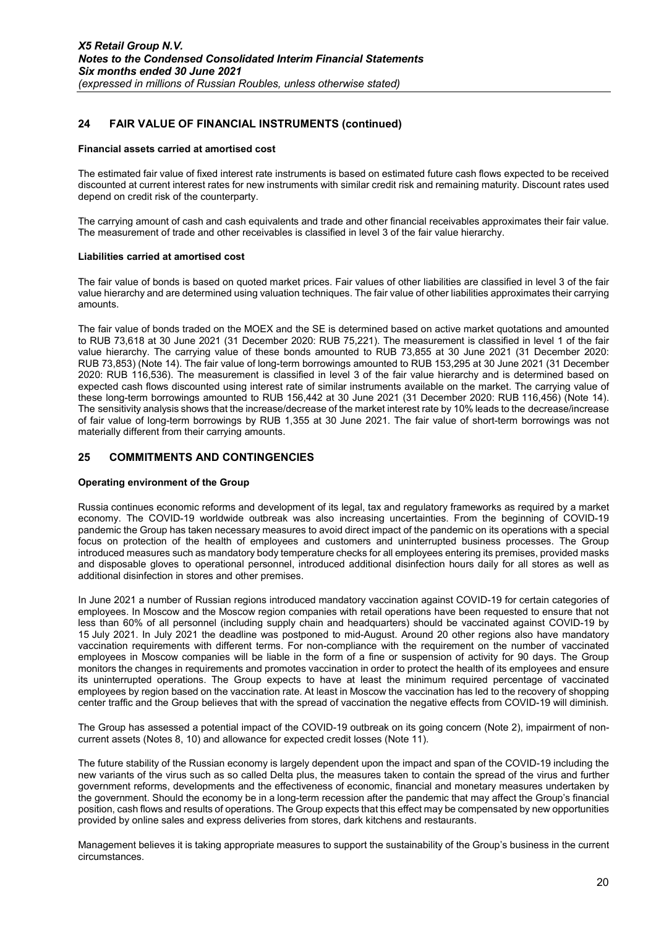### 24 FAIR VALUE OF FINANCIAL INSTRUMENTS (continued)

#### Financial assets carried at amortised cost

The estimated fair value of fixed interest rate instruments is based on estimated future cash flows expected to be received discounted at current interest rates for new instruments with similar credit risk and remaining maturity. Discount rates used depend on credit risk of the counterparty.

The carrying amount of cash and cash equivalents and trade and other financial receivables approximates their fair value. The measurement of trade and other receivables is classified in level 3 of the fair value hierarchy.

#### Liabilities carried at amortised cost

The fair value of bonds is based on quoted market prices. Fair values of other liabilities are classified in level 3 of the fair value hierarchy and are determined using valuation techniques. The fair value of other liabilities approximates their carrying amounts.

The fair value of bonds traded on the MOEX and the SE is determined based on active market quotations and amounted to RUB 73,618 at 30 June 2021 (31 December 2020: RUB 75,221). The measurement is classified in level 1 of the fair value hierarchy. The carrying value of these bonds amounted to RUB 73,855 at 30 June 2021 (31 December 2020: RUB 73,853) (Note 14). The fair value of long-term borrowings amounted to RUB 153,295 at 30 June 2021 (31 December 2020: RUB 116,536). The measurement is classified in level 3 of the fair value hierarchy and is determined based on expected cash flows discounted using interest rate of similar instruments available on the market. The carrying value of these long-term borrowings amounted to RUB 156,442 at 30 June 2021 (31 December 2020: RUB 116,456) (Note 14). The sensitivity analysis shows that the increase/decrease of the market interest rate by 10% leads to the decrease/increase of fair value of long-term borrowings by RUB 1,355 at 30 June 2021. The fair value of short-term borrowings was not materially different from their carrying amounts.

### 25 COMMITMENTS AND CONTINGENCIES

#### Operating environment of the Group

Russia continues economic reforms and development of its legal, tax and regulatory frameworks as required by a market economy. The COVID-19 worldwide outbreak was also increasing uncertainties. From the beginning of COVID-19 pandemic the Group has taken necessary measures to avoid direct impact of the pandemic on its operations with a special focus on protection of the health of employees and customers and uninterrupted business processes. The Group introduced measures such as mandatory body temperature checks for all employees entering its premises, provided masks and disposable gloves to operational personnel, introduced additional disinfection hours daily for all stores as well as additional disinfection in stores and other premises.

In June 2021 a number of Russian regions introduced mandatory vaccination against COVID-19 for certain categories of employees. In Moscow and the Moscow region companies with retail operations have been requested to ensure that not less than 60% of all personnel (including supply chain and headquarters) should be vaccinated against COVID-19 by 15 July 2021. In July 2021 the deadline was postponed to mid-August. Around 20 other regions also have mandatory vaccination requirements with different terms. For non-compliance with the requirement on the number of vaccinated employees in Moscow companies will be liable in the form of a fine or suspension of activity for 90 days. The Group monitors the changes in requirements and promotes vaccination in order to protect the health of its employees and ensure its uninterrupted operations. The Group expects to have at least the minimum required percentage of vaccinated employees by region based on the vaccination rate. At least in Moscow the vaccination has led to the recovery of shopping center traffic and the Group believes that with the spread of vaccination the negative effects from COVID-19 will diminish.

The Group has assessed a potential impact of the COVID-19 outbreak on its going concern (Note 2), impairment of noncurrent assets (Notes 8, 10) and allowance for expected credit losses (Note 11).

The future stability of the Russian economy is largely dependent upon the impact and span of the COVID-19 including the new variants of the virus such as so called Delta plus, the measures taken to contain the spread of the virus and further government reforms, developments and the effectiveness of economic, financial and monetary measures undertaken by the government. Should the economy be in a long-term recession after the pandemic that may affect the Group's financial position, cash flows and results of operations. The Group expects that this effect may be compensated by new opportunities provided by online sales and express deliveries from stores, dark kitchens and restaurants.

Management believes it is taking appropriate measures to support the sustainability of the Group's business in the current circumstances.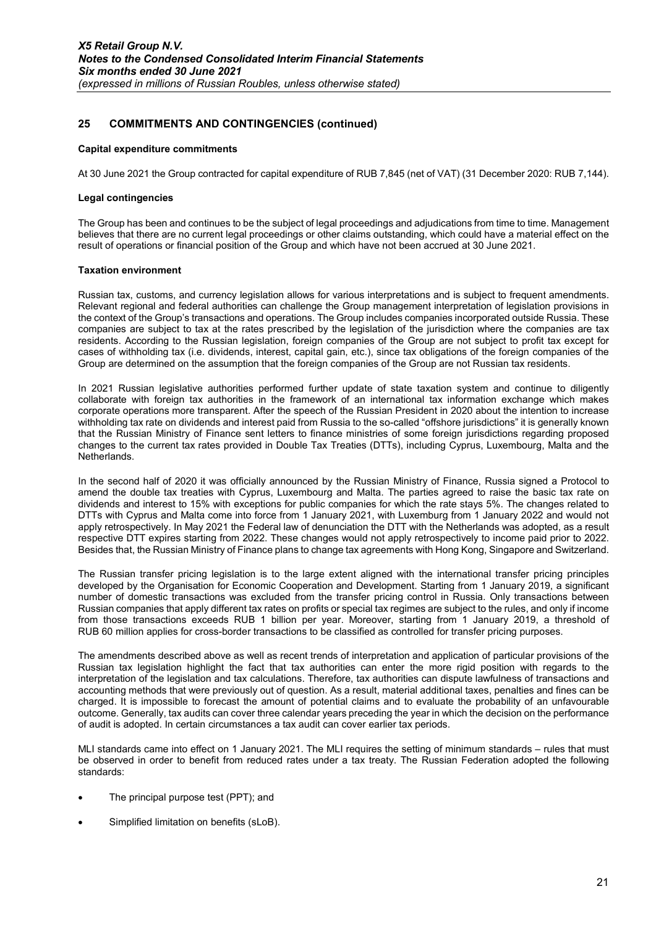### 25 COMMITMENTS AND CONTINGENCIES (continued)

#### Capital expenditure commitments

At 30 June 2021 the Group contracted for capital expenditure of RUB 7,845 (net of VAT) (31 December 2020: RUB 7,144).

#### Legal contingencies

The Group has been and continues to be the subject of legal proceedings and adjudications from time to time. Management believes that there are no current legal proceedings or other claims outstanding, which could have a material effect on the result of operations or financial position of the Group and which have not been accrued at 30 June 2021.

#### Taxation environment

Russian tax, customs, and currency legislation allows for various interpretations and is subject to frequent amendments. Relevant regional and federal authorities can challenge the Group management interpretation of legislation provisions in the context of the Group's transactions and operations. The Group includes companies incorporated outside Russia. These companies are subject to tax at the rates prescribed by the legislation of the jurisdiction where the companies are tax residents. According to the Russian legislation, foreign companies of the Group are not subject to profit tax except for cases of withholding tax (i.e. dividends, interest, capital gain, etc.), since tax obligations of the foreign companies of the Group are determined on the assumption that the foreign companies of the Group are not Russian tax residents.

In 2021 Russian legislative authorities performed further update of state taxation system and continue to diligently collaborate with foreign tax authorities in the framework of an international tax information exchange which makes corporate operations more transparent. After the speech of the Russian President in 2020 about the intention to increase withholding tax rate on dividends and interest paid from Russia to the so-called "offshore jurisdictions" it is generally known that the Russian Ministry of Finance sent letters to finance ministries of some foreign jurisdictions regarding proposed changes to the current tax rates provided in Double Tax Treaties (DTTs), including Cyprus, Luxembourg, Malta and the Netherlands.

In the second half of 2020 it was officially announced by the Russian Ministry of Finance, Russia signed a Protocol to amend the double tax treaties with Cyprus, Luxembourg and Malta. The parties agreed to raise the basic tax rate on dividends and interest to 15% with exceptions for public companies for which the rate stays 5%. The changes related to DTTs with Cyprus and Malta come into force from 1 January 2021, with Luxemburg from 1 January 2022 and would not apply retrospectively. In May 2021 the Federal law of denunciation the DTT with the Netherlands was adopted, as a result respective DTT expires starting from 2022. These changes would not apply retrospectively to income paid prior to 2022. Besides that, the Russian Ministry of Finance plans to change tax agreements with Hong Kong, Singapore and Switzerland.

The Russian transfer pricing legislation is to the large extent aligned with the international transfer pricing principles developed by the Organisation for Economic Cooperation and Development. Starting from 1 January 2019, a significant number of domestic transactions was excluded from the transfer pricing control in Russia. Only transactions between Russian companies that apply different tax rates on profits or special tax regimes are subject to the rules, and only if income from those transactions exceeds RUB 1 billion per year. Moreover, starting from 1 January 2019, a threshold of RUB 60 million applies for cross-border transactions to be classified as controlled for transfer pricing purposes.

The amendments described above as well as recent trends of interpretation and application of particular provisions of the Russian tax legislation highlight the fact that tax authorities can enter the more rigid position with regards to the interpretation of the legislation and tax calculations. Therefore, tax authorities can dispute lawfulness of transactions and accounting methods that were previously out of question. As a result, material additional taxes, penalties and fines can be charged. It is impossible to forecast the amount of potential claims and to evaluate the probability of an unfavourable outcome. Generally, tax audits can cover three calendar years preceding the year in which the decision on the performance of audit is adopted. In certain circumstances a tax audit can cover earlier tax periods.

MLI standards came into effect on 1 January 2021. The MLI requires the setting of minimum standards – rules that must be observed in order to benefit from reduced rates under a tax treaty. The Russian Federation adopted the following standards:

- The principal purpose test (PPT); and
- Simplified limitation on benefits (sLoB).